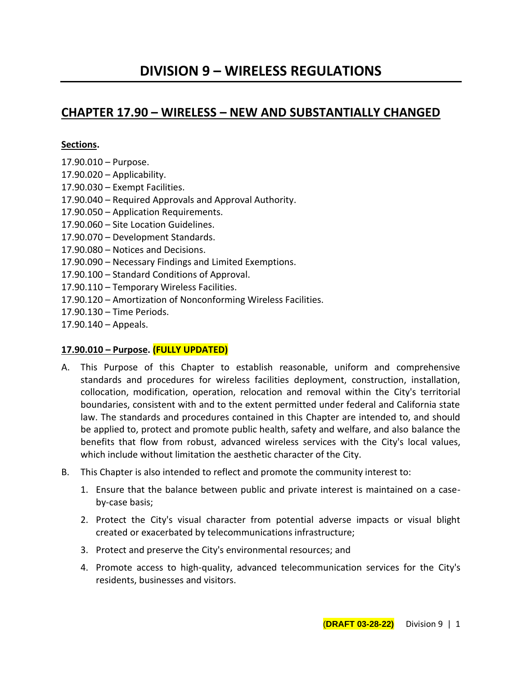# **CHAPTER 17.90 – WIRELESS – NEW AND SUBSTANTIALLY CHANGED**

### **Sections.**

- 17.90.010 Purpose.
- $17.90.020 -$  Applicability.
- 17.90.030 Exempt Facilities.
- 17.90.040 Required Approvals and Approval Authority.
- 17.90.050 Application Requirements.
- 17.90.060 Site Location Guidelines.
- 17.90.070 Development Standards.
- 17.90.080 Notices and Decisions.
- 17.90.090 Necessary Findings and Limited Exemptions.
- 17.90.100 Standard Conditions of Approval.
- 17.90.110 Temporary Wireless Facilities.
- 17.90.120 Amortization of Nonconforming Wireless Facilities.
- 17.90.130 Time Periods.
- 17.90.140 Appeals.

# **17.90.010 – Purpose. (FULLY UPDATED)**

- A. This Purpose of this Chapter to establish reasonable, uniform and comprehensive standards and procedures for wireless facilities deployment, construction, installation, collocation, modification, operation, relocation and removal within the City's territorial boundaries, consistent with and to the extent permitted under federal and California state law. The standards and procedures contained in this Chapter are intended to, and should be applied to, protect and promote public health, safety and welfare, and also balance the benefits that flow from robust, advanced wireless services with the City's local values, which include without limitation the aesthetic character of the City.
- B. This Chapter is also intended to reflect and promote the community interest to:
	- 1. Ensure that the balance between public and private interest is maintained on a caseby-case basis;
	- 2. Protect the City's visual character from potential adverse impacts or visual blight created or exacerbated by telecommunications infrastructure;
	- 3. Protect and preserve the City's environmental resources; and
	- 4. Promote access to high-quality, advanced telecommunication services for the City's residents, businesses and visitors.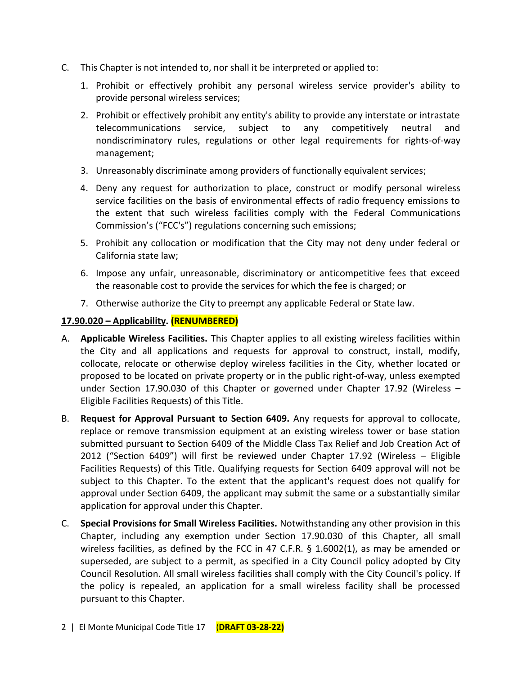- C. This Chapter is not intended to, nor shall it be interpreted or applied to:
	- 1. Prohibit or effectively prohibit any personal wireless service provider's ability to provide personal wireless services;
	- 2. Prohibit or effectively prohibit any entity's ability to provide any interstate or intrastate telecommunications service, subject to any competitively neutral and nondiscriminatory rules, regulations or other legal requirements for rights-of-way management;
	- 3. Unreasonably discriminate among providers of functionally equivalent services;
	- 4. Deny any request for authorization to place, construct or modify personal wireless service facilities on the basis of environmental effects of radio frequency emissions to the extent that such wireless facilities comply with the Federal Communications Commission's ("FCC's") regulations concerning such emissions;
	- 5. Prohibit any collocation or modification that the City may not deny under federal or California state law;
	- 6. Impose any unfair, unreasonable, discriminatory or anticompetitive fees that exceed the reasonable cost to provide the services for which the fee is charged; or
	- 7. Otherwise authorize the City to preempt any applicable Federal or State law.

## **17.90.020 – Applicability. (RENUMBERED)**

- A. **Applicable Wireless Facilities.** This Chapter applies to all existing wireless facilities within the City and all applications and requests for approval to construct, install, modify, collocate, relocate or otherwise deploy wireless facilities in the City, whether located or proposed to be located on private property or in the public right-of-way, unless exempted under Section 17.90.030 of this Chapter or governed under Chapter 17.92 (Wireless – Eligible Facilities Requests) of this Title.
- B. **Request for Approval Pursuant to Section 6409.** Any requests for approval to collocate, replace or remove transmission equipment at an existing wireless tower or base station submitted pursuant to Section 6409 of the Middle Class Tax Relief and Job Creation Act of 2012 ("Section 6409") will first be reviewed under Chapter 17.92 (Wireless – Eligible Facilities Requests) of this Title. Qualifying requests for Section 6409 approval will not be subject to this Chapter. To the extent that the applicant's request does not qualify for approval under Section 6409, the applicant may submit the same or a substantially similar application for approval under this Chapter.
- C. **Special Provisions for Small Wireless Facilities.** Notwithstanding any other provision in this Chapter, including any exemption under Section 17.90.030 of this Chapter, all small wireless facilities, as defined by the FCC in 47 C.F.R. § 1.6002(1), as may be amended or superseded, are subject to a permit, as specified in a City Council policy adopted by City Council Resolution. All small wireless facilities shall comply with the City Council's policy. If the policy is repealed, an application for a small wireless facility shall be processed pursuant to this Chapter.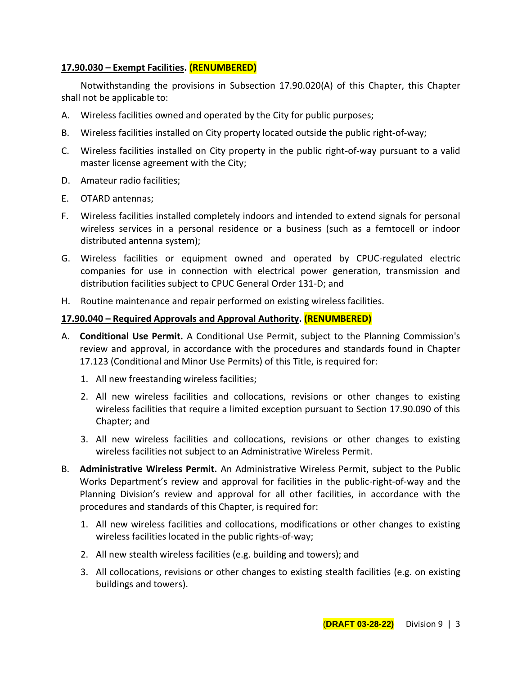## **17.90.030 – Exempt Facilities. (RENUMBERED)**

Notwithstanding the provisions in Subsection 17.90.020(A) of this Chapter, this Chapter shall not be applicable to:

- A. Wireless facilities owned and operated by the City for public purposes;
- B. Wireless facilities installed on City property located outside the public right-of-way;
- C. Wireless facilities installed on City property in the public right-of-way pursuant to a valid master license agreement with the City;
- D. Amateur radio facilities;
- E. OTARD antennas;
- F. Wireless facilities installed completely indoors and intended to extend signals for personal wireless services in a personal residence or a business (such as a femtocell or indoor distributed antenna system);
- G. Wireless facilities or equipment owned and operated by CPUC-regulated electric companies for use in connection with electrical power generation, transmission and distribution facilities subject to CPUC General Order 131-D; and
- H. Routine maintenance and repair performed on existing wireless facilities.

## **17.90.040 – Required Approvals and Approval Authority. (RENUMBERED)**

- A. **Conditional Use Permit.** A Conditional Use Permit, subject to the Planning Commission's review and approval, in accordance with the procedures and standards found in Chapter 17.123 (Conditional and Minor Use Permits) of this Title, is required for:
	- 1. All new freestanding wireless facilities;
	- 2. All new wireless facilities and collocations, revisions or other changes to existing wireless facilities that require a limited exception pursuant to Section 17.90.090 of this Chapter; and
	- 3. All new wireless facilities and collocations, revisions or other changes to existing wireless facilities not subject to an Administrative Wireless Permit.
- B. **Administrative Wireless Permit.** An Administrative Wireless Permit, subject to the Public Works Department's review and approval for facilities in the public-right-of-way and the Planning Division's review and approval for all other facilities, in accordance with the procedures and standards of this Chapter, is required for:
	- 1. All new wireless facilities and collocations, modifications or other changes to existing wireless facilities located in the public rights-of-way;
	- 2. All new stealth wireless facilities (e.g. building and towers); and
	- 3. All collocations, revisions or other changes to existing stealth facilities (e.g. on existing buildings and towers).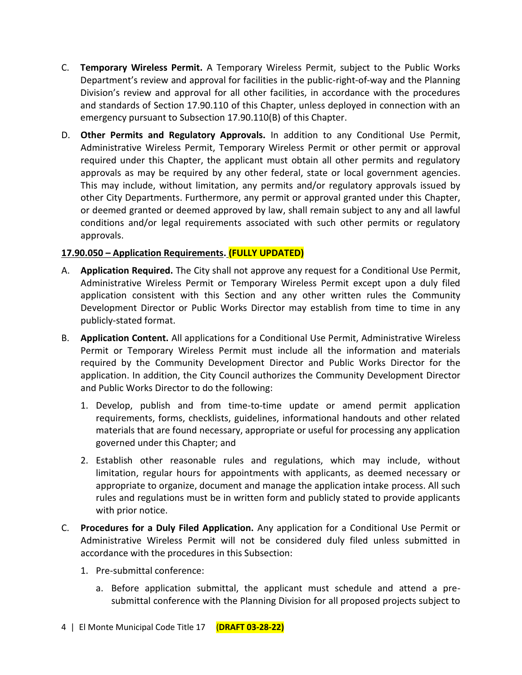- C. **Temporary Wireless Permit.** A Temporary Wireless Permit, subject to the Public Works Department's review and approval for facilities in the public-right-of-way and the Planning Division's review and approval for all other facilities, in accordance with the procedures and standards of Section 17.90.110 of this Chapter, unless deployed in connection with an emergency pursuant to Subsection 17.90.110(B) of this Chapter.
- D. **Other Permits and Regulatory Approvals.** In addition to any Conditional Use Permit, Administrative Wireless Permit, Temporary Wireless Permit or other permit or approval required under this Chapter, the applicant must obtain all other permits and regulatory approvals as may be required by any other federal, state or local government agencies. This may include, without limitation, any permits and/or regulatory approvals issued by other City Departments. Furthermore, any permit or approval granted under this Chapter, or deemed granted or deemed approved by law, shall remain subject to any and all lawful conditions and/or legal requirements associated with such other permits or regulatory approvals.

# **17.90.050 – Application Requirements. (FULLY UPDATED)**

- A. **Application Required.** The City shall not approve any request for a Conditional Use Permit, Administrative Wireless Permit or Temporary Wireless Permit except upon a duly filed application consistent with this Section and any other written rules the Community Development Director or Public Works Director may establish from time to time in any publicly-stated format.
- B. **Application Content.** All applications for a Conditional Use Permit, Administrative Wireless Permit or Temporary Wireless Permit must include all the information and materials required by the Community Development Director and Public Works Director for the application. In addition, the City Council authorizes the Community Development Director and Public Works Director to do the following:
	- 1. Develop, publish and from time-to-time update or amend permit application requirements, forms, checklists, guidelines, informational handouts and other related materials that are found necessary, appropriate or useful for processing any application governed under this Chapter; and
	- 2. Establish other reasonable rules and regulations, which may include, without limitation, regular hours for appointments with applicants, as deemed necessary or appropriate to organize, document and manage the application intake process. All such rules and regulations must be in written form and publicly stated to provide applicants with prior notice.
- C. **Procedures for a Duly Filed Application.** Any application for a Conditional Use Permit or Administrative Wireless Permit will not be considered duly filed unless submitted in accordance with the procedures in this Subsection:
	- 1. Pre-submittal conference:
		- a. Before application submittal, the applicant must schedule and attend a presubmittal conference with the Planning Division for all proposed projects subject to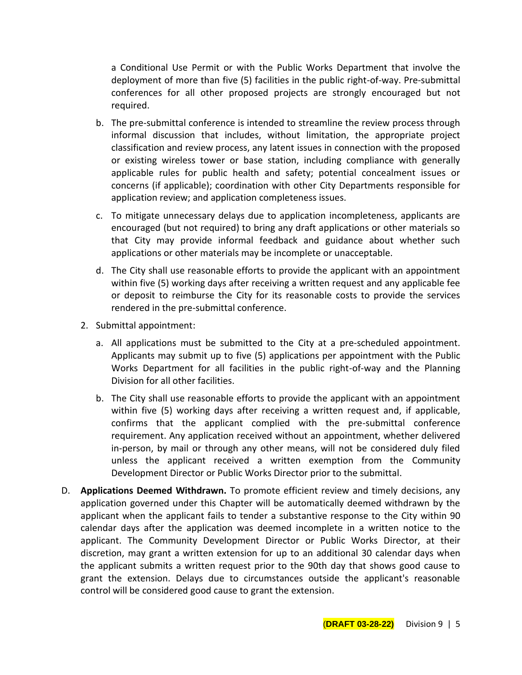a Conditional Use Permit or with the Public Works Department that involve the deployment of more than five (5) facilities in the public right-of-way. Pre-submittal conferences for all other proposed projects are strongly encouraged but not required.

- b. The pre-submittal conference is intended to streamline the review process through informal discussion that includes, without limitation, the appropriate project classification and review process, any latent issues in connection with the proposed or existing wireless tower or base station, including compliance with generally applicable rules for public health and safety; potential concealment issues or concerns (if applicable); coordination with other City Departments responsible for application review; and application completeness issues.
- c. To mitigate unnecessary delays due to application incompleteness, applicants are encouraged (but not required) to bring any draft applications or other materials so that City may provide informal feedback and guidance about whether such applications or other materials may be incomplete or unacceptable.
- d. The City shall use reasonable efforts to provide the applicant with an appointment within five (5) working days after receiving a written request and any applicable fee or deposit to reimburse the City for its reasonable costs to provide the services rendered in the pre-submittal conference.
- 2. Submittal appointment:
	- a. All applications must be submitted to the City at a pre-scheduled appointment. Applicants may submit up to five (5) applications per appointment with the Public Works Department for all facilities in the public right-of-way and the Planning Division for all other facilities.
	- b. The City shall use reasonable efforts to provide the applicant with an appointment within five (5) working days after receiving a written request and, if applicable, confirms that the applicant complied with the pre-submittal conference requirement. Any application received without an appointment, whether delivered in-person, by mail or through any other means, will not be considered duly filed unless the applicant received a written exemption from the Community Development Director or Public Works Director prior to the submittal.
- D. **Applications Deemed Withdrawn.** To promote efficient review and timely decisions, any application governed under this Chapter will be automatically deemed withdrawn by the applicant when the applicant fails to tender a substantive response to the City within 90 calendar days after the application was deemed incomplete in a written notice to the applicant. The Community Development Director or Public Works Director, at their discretion, may grant a written extension for up to an additional 30 calendar days when the applicant submits a written request prior to the 90th day that shows good cause to grant the extension. Delays due to circumstances outside the applicant's reasonable control will be considered good cause to grant the extension.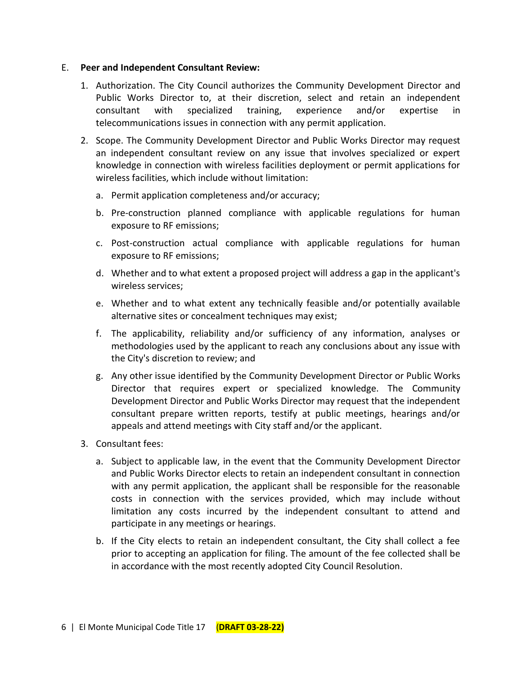#### E. **Peer and Independent Consultant Review:**

- 1. Authorization. The City Council authorizes the Community Development Director and Public Works Director to, at their discretion, select and retain an independent consultant with specialized training, experience and/or expertise in telecommunications issues in connection with any permit application.
- 2. Scope. The Community Development Director and Public Works Director may request an independent consultant review on any issue that involves specialized or expert knowledge in connection with wireless facilities deployment or permit applications for wireless facilities, which include without limitation:
	- a. Permit application completeness and/or accuracy;
	- b. Pre-construction planned compliance with applicable regulations for human exposure to RF emissions;
	- c. Post-construction actual compliance with applicable regulations for human exposure to RF emissions;
	- d. Whether and to what extent a proposed project will address a gap in the applicant's wireless services;
	- e. Whether and to what extent any technically feasible and/or potentially available alternative sites or concealment techniques may exist;
	- f. The applicability, reliability and/or sufficiency of any information, analyses or methodologies used by the applicant to reach any conclusions about any issue with the City's discretion to review; and
	- g. Any other issue identified by the Community Development Director or Public Works Director that requires expert or specialized knowledge. The Community Development Director and Public Works Director may request that the independent consultant prepare written reports, testify at public meetings, hearings and/or appeals and attend meetings with City staff and/or the applicant.
- 3. Consultant fees:
	- a. Subject to applicable law, in the event that the Community Development Director and Public Works Director elects to retain an independent consultant in connection with any permit application, the applicant shall be responsible for the reasonable costs in connection with the services provided, which may include without limitation any costs incurred by the independent consultant to attend and participate in any meetings or hearings.
	- b. If the City elects to retain an independent consultant, the City shall collect a fee prior to accepting an application for filing. The amount of the fee collected shall be in accordance with the most recently adopted City Council Resolution.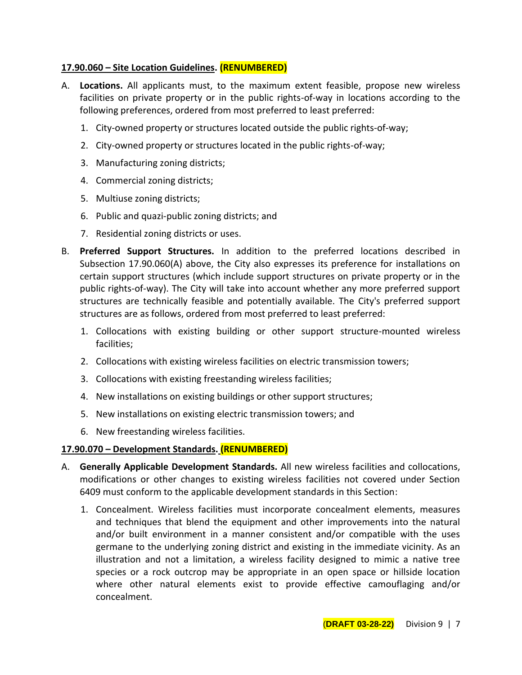## **17.90.060 – Site Location Guidelines. (RENUMBERED)**

- A. **Locations.** All applicants must, to the maximum extent feasible, propose new wireless facilities on private property or in the public rights-of-way in locations according to the following preferences, ordered from most preferred to least preferred:
	- 1. City-owned property or structures located outside the public rights-of-way;
	- 2. City-owned property or structures located in the public rights-of-way;
	- 3. Manufacturing zoning districts;
	- 4. Commercial zoning districts;
	- 5. Multiuse zoning districts;
	- 6. Public and quazi-public zoning districts; and
	- 7. Residential zoning districts or uses.
- B. **Preferred Support Structures.** In addition to the preferred locations described in Subsection 17.90.060(A) above, the City also expresses its preference for installations on certain support structures (which include support structures on private property or in the public rights-of-way). The City will take into account whether any more preferred support structures are technically feasible and potentially available. The City's preferred support structures are as follows, ordered from most preferred to least preferred:
	- 1. Collocations with existing building or other support structure-mounted wireless facilities;
	- 2. Collocations with existing wireless facilities on electric transmission towers;
	- 3. Collocations with existing freestanding wireless facilities;
	- 4. New installations on existing buildings or other support structures;
	- 5. New installations on existing electric transmission towers; and
	- 6. New freestanding wireless facilities.

# **17.90.070 – Development Standards. (RENUMBERED)**

- A. **Generally Applicable Development Standards.** All new wireless facilities and collocations, modifications or other changes to existing wireless facilities not covered under Section 6409 must conform to the applicable development standards in this Section:
	- 1. Concealment. Wireless facilities must incorporate concealment elements, measures and techniques that blend the equipment and other improvements into the natural and/or built environment in a manner consistent and/or compatible with the uses germane to the underlying zoning district and existing in the immediate vicinity. As an illustration and not a limitation, a wireless facility designed to mimic a native tree species or a rock outcrop may be appropriate in an open space or hillside location where other natural elements exist to provide effective camouflaging and/or concealment.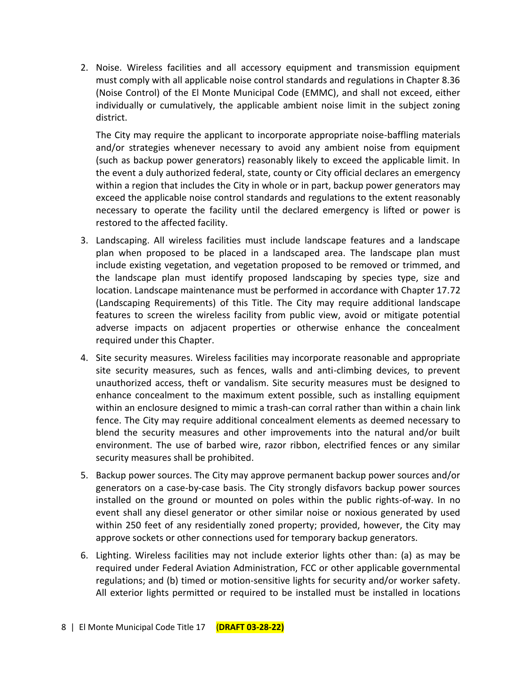2. Noise. Wireless facilities and all accessory equipment and transmission equipment must comply with all applicable noise control standards and regulations in Chapter 8.36 (Noise Control) of the El Monte Municipal Code (EMMC), and shall not exceed, either individually or cumulatively, the applicable ambient noise limit in the subject zoning district.

The City may require the applicant to incorporate appropriate noise-baffling materials and/or strategies whenever necessary to avoid any ambient noise from equipment (such as backup power generators) reasonably likely to exceed the applicable limit. In the event a duly authorized federal, state, county or City official declares an emergency within a region that includes the City in whole or in part, backup power generators may exceed the applicable noise control standards and regulations to the extent reasonably necessary to operate the facility until the declared emergency is lifted or power is restored to the affected facility.

- 3. Landscaping. All wireless facilities must include landscape features and a landscape plan when proposed to be placed in a landscaped area. The landscape plan must include existing vegetation, and vegetation proposed to be removed or trimmed, and the landscape plan must identify proposed landscaping by species type, size and location. Landscape maintenance must be performed in accordance with Chapter 17.72 (Landscaping Requirements) of this Title. The City may require additional landscape features to screen the wireless facility from public view, avoid or mitigate potential adverse impacts on adjacent properties or otherwise enhance the concealment required under this Chapter.
- 4. Site security measures. Wireless facilities may incorporate reasonable and appropriate site security measures, such as fences, walls and anti-climbing devices, to prevent unauthorized access, theft or vandalism. Site security measures must be designed to enhance concealment to the maximum extent possible, such as installing equipment within an enclosure designed to mimic a trash-can corral rather than within a chain link fence. The City may require additional concealment elements as deemed necessary to blend the security measures and other improvements into the natural and/or built environment. The use of barbed wire, razor ribbon, electrified fences or any similar security measures shall be prohibited.
- 5. Backup power sources. The City may approve permanent backup power sources and/or generators on a case-by-case basis. The City strongly disfavors backup power sources installed on the ground or mounted on poles within the public rights-of-way. In no event shall any diesel generator or other similar noise or noxious generated by used within 250 feet of any residentially zoned property; provided, however, the City may approve sockets or other connections used for temporary backup generators.
- 6. Lighting. Wireless facilities may not include exterior lights other than: (a) as may be required under Federal Aviation Administration, FCC or other applicable governmental regulations; and (b) timed or motion-sensitive lights for security and/or worker safety. All exterior lights permitted or required to be installed must be installed in locations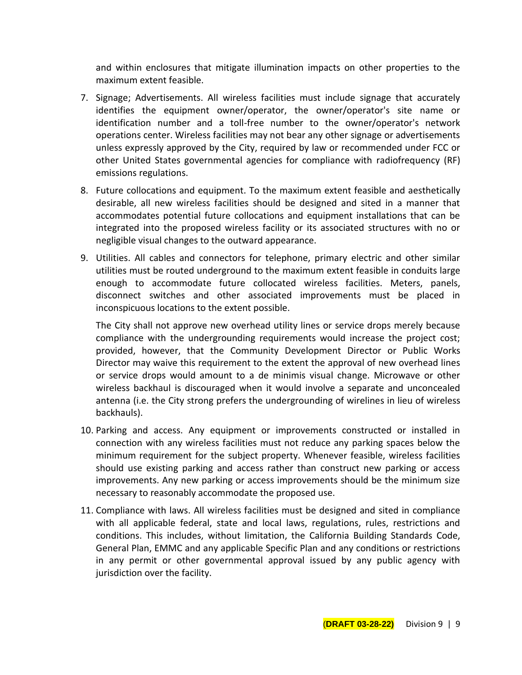and within enclosures that mitigate illumination impacts on other properties to the maximum extent feasible.

- 7. Signage; Advertisements. All wireless facilities must include signage that accurately identifies the equipment owner/operator, the owner/operator's site name or identification number and a toll-free number to the owner/operator's network operations center. Wireless facilities may not bear any other signage or advertisements unless expressly approved by the City, required by law or recommended under FCC or other United States governmental agencies for compliance with radiofrequency (RF) emissions regulations.
- 8. Future collocations and equipment. To the maximum extent feasible and aesthetically desirable, all new wireless facilities should be designed and sited in a manner that accommodates potential future collocations and equipment installations that can be integrated into the proposed wireless facility or its associated structures with no or negligible visual changes to the outward appearance.
- 9. Utilities. All cables and connectors for telephone, primary electric and other similar utilities must be routed underground to the maximum extent feasible in conduits large enough to accommodate future collocated wireless facilities. Meters, panels, disconnect switches and other associated improvements must be placed in inconspicuous locations to the extent possible.

The City shall not approve new overhead utility lines or service drops merely because compliance with the undergrounding requirements would increase the project cost; provided, however, that the Community Development Director or Public Works Director may waive this requirement to the extent the approval of new overhead lines or service drops would amount to a de minimis visual change. Microwave or other wireless backhaul is discouraged when it would involve a separate and unconcealed antenna (i.e. the City strong prefers the undergrounding of wirelines in lieu of wireless backhauls).

- 10. Parking and access. Any equipment or improvements constructed or installed in connection with any wireless facilities must not reduce any parking spaces below the minimum requirement for the subject property. Whenever feasible, wireless facilities should use existing parking and access rather than construct new parking or access improvements. Any new parking or access improvements should be the minimum size necessary to reasonably accommodate the proposed use.
- 11. Compliance with laws. All wireless facilities must be designed and sited in compliance with all applicable federal, state and local laws, regulations, rules, restrictions and conditions. This includes, without limitation, the California Building Standards Code, General Plan, EMMC and any applicable Specific Plan and any conditions or restrictions in any permit or other governmental approval issued by any public agency with jurisdiction over the facility.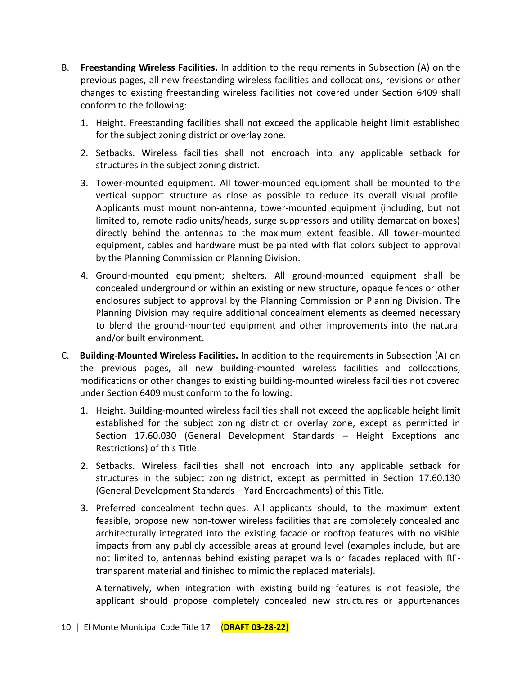- B. **Freestanding Wireless Facilities.** In addition to the requirements in Subsection (A) on the previous pages, all new freestanding wireless facilities and collocations, revisions or other changes to existing freestanding wireless facilities not covered under Section 6409 shall conform to the following:
	- 1. Height. Freestanding facilities shall not exceed the applicable height limit established for the subject zoning district or overlay zone.
	- 2. Setbacks. Wireless facilities shall not encroach into any applicable setback for structures in the subject zoning district.
	- 3. Tower-mounted equipment. All tower-mounted equipment shall be mounted to the vertical support structure as close as possible to reduce its overall visual profile. Applicants must mount non-antenna, tower-mounted equipment (including, but not limited to, remote radio units/heads, surge suppressors and utility demarcation boxes) directly behind the antennas to the maximum extent feasible. All tower-mounted equipment, cables and hardware must be painted with flat colors subject to approval by the Planning Commission or Planning Division.
	- 4. Ground-mounted equipment; shelters. All ground-mounted equipment shall be concealed underground or within an existing or new structure, opaque fences or other enclosures subject to approval by the Planning Commission or Planning Division. The Planning Division may require additional concealment elements as deemed necessary to blend the ground-mounted equipment and other improvements into the natural and/or built environment.
- C. **Building-Mounted Wireless Facilities.** In addition to the requirements in Subsection (A) on the previous pages, all new building-mounted wireless facilities and collocations, modifications or other changes to existing building-mounted wireless facilities not covered under Section 6409 must conform to the following:
	- 1. Height. Building-mounted wireless facilities shall not exceed the applicable height limit established for the subject zoning district or overlay zone, except as permitted in Section 17.60.030 (General Development Standards – Height Exceptions and Restrictions) of this Title.
	- 2. Setbacks. Wireless facilities shall not encroach into any applicable setback for structures in the subject zoning district, except as permitted in Section 17.60.130 (General Development Standards – Yard Encroachments) of this Title.
	- 3. Preferred concealment techniques. All applicants should, to the maximum extent feasible, propose new non-tower wireless facilities that are completely concealed and architecturally integrated into the existing facade or rooftop features with no visible impacts from any publicly accessible areas at ground level (examples include, but are not limited to, antennas behind existing parapet walls or facades replaced with RFtransparent material and finished to mimic the replaced materials).

Alternatively, when integration with existing building features is not feasible, the applicant should propose completely concealed new structures or appurtenances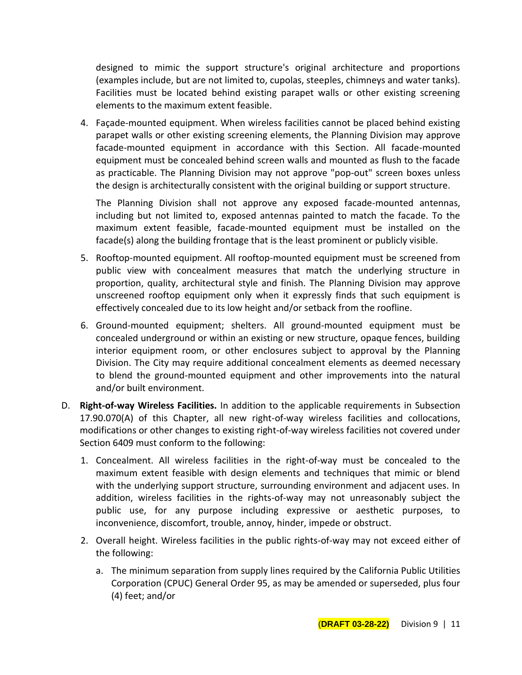designed to mimic the support structure's original architecture and proportions (examples include, but are not limited to, cupolas, steeples, chimneys and water tanks). Facilities must be located behind existing parapet walls or other existing screening elements to the maximum extent feasible.

4. Façade-mounted equipment. When wireless facilities cannot be placed behind existing parapet walls or other existing screening elements, the Planning Division may approve facade-mounted equipment in accordance with this Section. All facade-mounted equipment must be concealed behind screen walls and mounted as flush to the facade as practicable. The Planning Division may not approve "pop-out" screen boxes unless the design is architecturally consistent with the original building or support structure.

The Planning Division shall not approve any exposed facade-mounted antennas, including but not limited to, exposed antennas painted to match the facade. To the maximum extent feasible, facade-mounted equipment must be installed on the facade(s) along the building frontage that is the least prominent or publicly visible.

- 5. Rooftop-mounted equipment. All rooftop-mounted equipment must be screened from public view with concealment measures that match the underlying structure in proportion, quality, architectural style and finish. The Planning Division may approve unscreened rooftop equipment only when it expressly finds that such equipment is effectively concealed due to its low height and/or setback from the roofline.
- 6. Ground-mounted equipment; shelters. All ground-mounted equipment must be concealed underground or within an existing or new structure, opaque fences, building interior equipment room, or other enclosures subject to approval by the Planning Division. The City may require additional concealment elements as deemed necessary to blend the ground-mounted equipment and other improvements into the natural and/or built environment.
- D. **Right-of-way Wireless Facilities.** In addition to the applicable requirements in Subsection 17.90.070(A) of this Chapter, all new right-of-way wireless facilities and collocations, modifications or other changes to existing right-of-way wireless facilities not covered under Section 6409 must conform to the following:
	- 1. Concealment. All wireless facilities in the right-of-way must be concealed to the maximum extent feasible with design elements and techniques that mimic or blend with the underlying support structure, surrounding environment and adjacent uses. In addition, wireless facilities in the rights-of-way may not unreasonably subject the public use, for any purpose including expressive or aesthetic purposes, to inconvenience, discomfort, trouble, annoy, hinder, impede or obstruct.
	- 2. Overall height. Wireless facilities in the public rights-of-way may not exceed either of the following:
		- a. The minimum separation from supply lines required by the California Public Utilities Corporation (CPUC) General Order 95, as may be amended or superseded, plus four (4) feet; and/or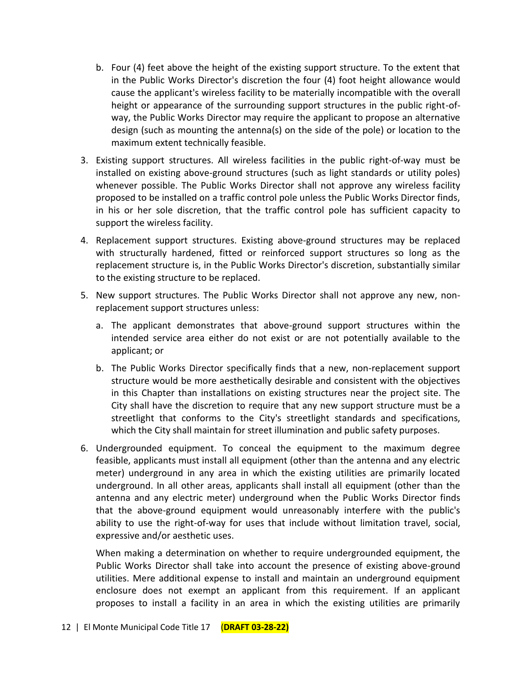- b. Four (4) feet above the height of the existing support structure. To the extent that in the Public Works Director's discretion the four (4) foot height allowance would cause the applicant's wireless facility to be materially incompatible with the overall height or appearance of the surrounding support structures in the public right-ofway, the Public Works Director may require the applicant to propose an alternative design (such as mounting the antenna(s) on the side of the pole) or location to the maximum extent technically feasible.
- 3. Existing support structures. All wireless facilities in the public right-of-way must be installed on existing above-ground structures (such as light standards or utility poles) whenever possible. The Public Works Director shall not approve any wireless facility proposed to be installed on a traffic control pole unless the Public Works Director finds, in his or her sole discretion, that the traffic control pole has sufficient capacity to support the wireless facility.
- 4. Replacement support structures. Existing above-ground structures may be replaced with structurally hardened, fitted or reinforced support structures so long as the replacement structure is, in the Public Works Director's discretion, substantially similar to the existing structure to be replaced.
- 5. New support structures. The Public Works Director shall not approve any new, nonreplacement support structures unless:
	- a. The applicant demonstrates that above-ground support structures within the intended service area either do not exist or are not potentially available to the applicant; or
	- b. The Public Works Director specifically finds that a new, non-replacement support structure would be more aesthetically desirable and consistent with the objectives in this Chapter than installations on existing structures near the project site. The City shall have the discretion to require that any new support structure must be a streetlight that conforms to the City's streetlight standards and specifications, which the City shall maintain for street illumination and public safety purposes.
- 6. Undergrounded equipment. To conceal the equipment to the maximum degree feasible, applicants must install all equipment (other than the antenna and any electric meter) underground in any area in which the existing utilities are primarily located underground. In all other areas, applicants shall install all equipment (other than the antenna and any electric meter) underground when the Public Works Director finds that the above-ground equipment would unreasonably interfere with the public's ability to use the right-of-way for uses that include without limitation travel, social, expressive and/or aesthetic uses.

When making a determination on whether to require undergrounded equipment, the Public Works Director shall take into account the presence of existing above-ground utilities. Mere additional expense to install and maintain an underground equipment enclosure does not exempt an applicant from this requirement. If an applicant proposes to install a facility in an area in which the existing utilities are primarily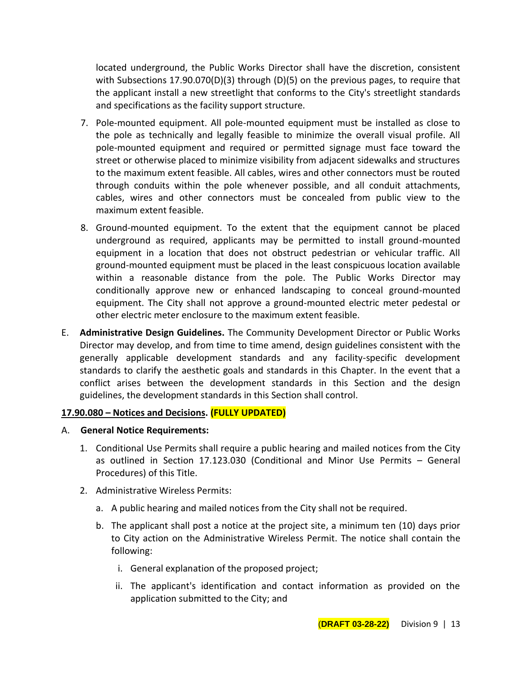located underground, the Public Works Director shall have the discretion, consistent with Subsections 17.90.070(D)(3) through (D)(5) on the previous pages, to require that the applicant install a new streetlight that conforms to the City's streetlight standards and specifications as the facility support structure.

- 7. Pole-mounted equipment. All pole-mounted equipment must be installed as close to the pole as technically and legally feasible to minimize the overall visual profile. All pole-mounted equipment and required or permitted signage must face toward the street or otherwise placed to minimize visibility from adjacent sidewalks and structures to the maximum extent feasible. All cables, wires and other connectors must be routed through conduits within the pole whenever possible, and all conduit attachments, cables, wires and other connectors must be concealed from public view to the maximum extent feasible.
- 8. Ground-mounted equipment. To the extent that the equipment cannot be placed underground as required, applicants may be permitted to install ground-mounted equipment in a location that does not obstruct pedestrian or vehicular traffic. All ground-mounted equipment must be placed in the least conspicuous location available within a reasonable distance from the pole. The Public Works Director may conditionally approve new or enhanced landscaping to conceal ground-mounted equipment. The City shall not approve a ground-mounted electric meter pedestal or other electric meter enclosure to the maximum extent feasible.
- E. **Administrative Design Guidelines.** The Community Development Director or Public Works Director may develop, and from time to time amend, design guidelines consistent with the generally applicable development standards and any facility-specific development standards to clarify the aesthetic goals and standards in this Chapter. In the event that a conflict arises between the development standards in this Section and the design guidelines, the development standards in this Section shall control.

#### **17.90.080 – Notices and Decisions. (FULLY UPDATED)**

- A. **General Notice Requirements:**
	- 1. Conditional Use Permits shall require a public hearing and mailed notices from the City as outlined in Section 17.123.030 (Conditional and Minor Use Permits – General Procedures) of this Title.
	- 2. Administrative Wireless Permits:
		- a. A public hearing and mailed notices from the City shall not be required.
		- b. The applicant shall post a notice at the project site, a minimum ten (10) days prior to City action on the Administrative Wireless Permit. The notice shall contain the following:
			- i. General explanation of the proposed project;
			- ii. The applicant's identification and contact information as provided on the application submitted to the City; and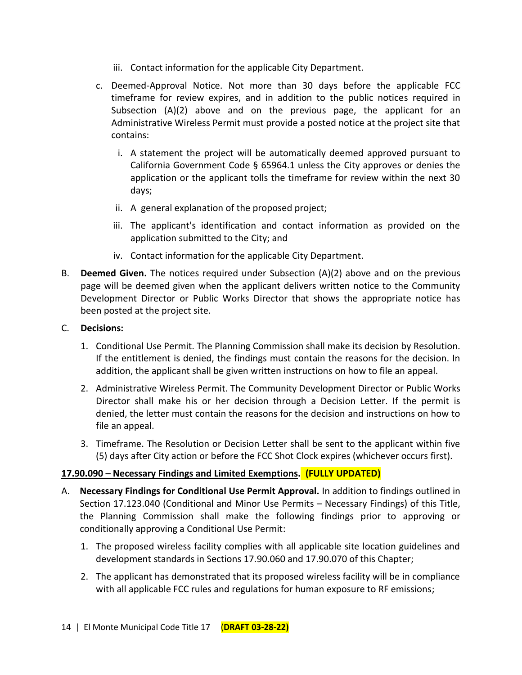- iii. Contact information for the applicable City Department.
- c. Deemed-Approval Notice. Not more than 30 days before the applicable FCC timeframe for review expires, and in addition to the public notices required in Subsection (A)(2) above and on the previous page, the applicant for an Administrative Wireless Permit must provide a posted notice at the project site that contains:
	- i. A statement the project will be automatically deemed approved pursuant to California Government Code § 65964.1 unless the City approves or denies the application or the applicant tolls the timeframe for review within the next 30 days;
	- ii. A general explanation of the proposed project;
	- iii. The applicant's identification and contact information as provided on the application submitted to the City; and
	- iv. Contact information for the applicable City Department.
- B. **Deemed Given.** The notices required under Subsection (A)(2) above and on the previous page will be deemed given when the applicant delivers written notice to the Community Development Director or Public Works Director that shows the appropriate notice has been posted at the project site.

### C. **Decisions:**

- 1. Conditional Use Permit. The Planning Commission shall make its decision by Resolution. If the entitlement is denied, the findings must contain the reasons for the decision. In addition, the applicant shall be given written instructions on how to file an appeal.
- 2. Administrative Wireless Permit. The Community Development Director or Public Works Director shall make his or her decision through a Decision Letter. If the permit is denied, the letter must contain the reasons for the decision and instructions on how to file an appeal.
- 3. Timeframe. The Resolution or Decision Letter shall be sent to the applicant within five (5) days after City action or before the FCC Shot Clock expires (whichever occurs first).

# **17.90.090 – Necessary Findings and Limited Exemptions. (FULLY UPDATED)**

- A. **Necessary Findings for Conditional Use Permit Approval.** In addition to findings outlined in Section 17.123.040 (Conditional and Minor Use Permits – Necessary Findings) of this Title, the Planning Commission shall make the following findings prior to approving or conditionally approving a Conditional Use Permit:
	- 1. The proposed wireless facility complies with all applicable site location guidelines and development standards in Sections 17.90.060 and 17.90.070 of this Chapter;
	- 2. The applicant has demonstrated that its proposed wireless facility will be in compliance with all applicable FCC rules and regulations for human exposure to RF emissions;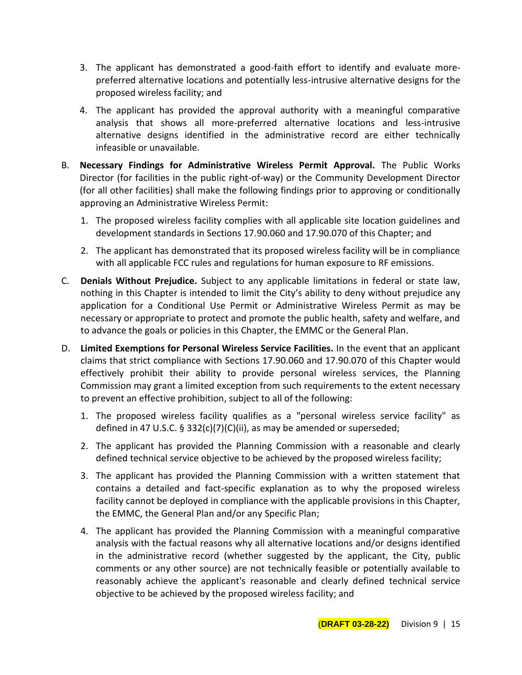- 3. The applicant has demonstrated a good-faith effort to identify and evaluate morepreferred alternative locations and potentially less-intrusive alternative designs for the proposed wireless facility; and
- 4. The applicant has provided the approval authority with a meaningful comparative analysis that shows all more-preferred alternative locations and less-intrusive alternative designs identified in the administrative record are either technically infeasible or unavailable.
- B. **Necessary Findings for Administrative Wireless Permit Approval.** The Public Works Director (for facilities in the public right-of-way) or the Community Development Director (for all other facilities) shall make the following findings prior to approving or conditionally approving an Administrative Wireless Permit:
	- 1. The proposed wireless facility complies with all applicable site location guidelines and development standards in Sections 17.90.060 and 17.90.070 of this Chapter; and
	- 2. The applicant has demonstrated that its proposed wireless facility will be in compliance with all applicable FCC rules and regulations for human exposure to RF emissions.
- C. **Denials Without Prejudice.** Subject to any applicable limitations in federal or state law, nothing in this Chapter is intended to limit the City's ability to deny without prejudice any application for a Conditional Use Permit or Administrative Wireless Permit as may be necessary or appropriate to protect and promote the public health, safety and welfare, and to advance the goals or policies in this Chapter, the EMMC or the General Plan.
- D. **Limited Exemptions for Personal Wireless Service Facilities.** In the event that an applicant claims that strict compliance with Sections 17.90.060 and 17.90.070 of this Chapter would effectively prohibit their ability to provide personal wireless services, the Planning Commission may grant a limited exception from such requirements to the extent necessary to prevent an effective prohibition, subject to all of the following:
	- 1. The proposed wireless facility qualifies as a "personal wireless service facility" as defined in 47 U.S.C. § 332(c)(7)(C)(ii), as may be amended or superseded;
	- 2. The applicant has provided the Planning Commission with a reasonable and clearly defined technical service objective to be achieved by the proposed wireless facility;
	- 3. The applicant has provided the Planning Commission with a written statement that contains a detailed and fact-specific explanation as to why the proposed wireless facility cannot be deployed in compliance with the applicable provisions in this Chapter, the EMMC, the General Plan and/or any Specific Plan;
	- 4. The applicant has provided the Planning Commission with a meaningful comparative analysis with the factual reasons why all alternative locations and/or designs identified in the administrative record (whether suggested by the applicant, the City, public comments or any other source) are not technically feasible or potentially available to reasonably achieve the applicant's reasonable and clearly defined technical service objective to be achieved by the proposed wireless facility; and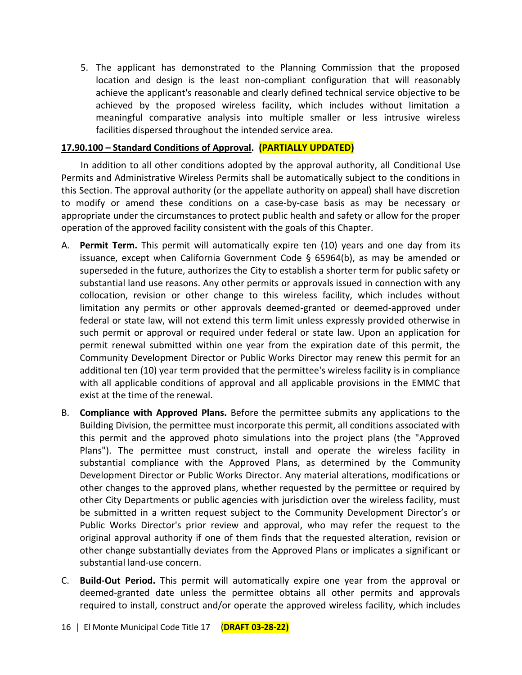5. The applicant has demonstrated to the Planning Commission that the proposed location and design is the least non-compliant configuration that will reasonably achieve the applicant's reasonable and clearly defined technical service objective to be achieved by the proposed wireless facility, which includes without limitation a meaningful comparative analysis into multiple smaller or less intrusive wireless facilities dispersed throughout the intended service area.

## **17.90.100 – Standard Conditions of Approval. (PARTIALLY UPDATED)**

In addition to all other conditions adopted by the approval authority, all Conditional Use Permits and Administrative Wireless Permits shall be automatically subject to the conditions in this Section. The approval authority (or the appellate authority on appeal) shall have discretion to modify or amend these conditions on a case-by-case basis as may be necessary or appropriate under the circumstances to protect public health and safety or allow for the proper operation of the approved facility consistent with the goals of this Chapter.

- A. **Permit Term.** This permit will automatically expire ten (10) years and one day from its issuance, except when California Government Code § 65964(b), as may be amended or superseded in the future, authorizes the City to establish a shorter term for public safety or substantial land use reasons. Any other permits or approvals issued in connection with any collocation, revision or other change to this wireless facility, which includes without limitation any permits or other approvals deemed-granted or deemed-approved under federal or state law, will not extend this term limit unless expressly provided otherwise in such permit or approval or required under federal or state law. Upon an application for permit renewal submitted within one year from the expiration date of this permit, the Community Development Director or Public Works Director may renew this permit for an additional ten (10) year term provided that the permittee's wireless facility is in compliance with all applicable conditions of approval and all applicable provisions in the EMMC that exist at the time of the renewal.
- B. **Compliance with Approved Plans.** Before the permittee submits any applications to the Building Division, the permittee must incorporate this permit, all conditions associated with this permit and the approved photo simulations into the project plans (the "Approved Plans"). The permittee must construct, install and operate the wireless facility in substantial compliance with the Approved Plans, as determined by the Community Development Director or Public Works Director. Any material alterations, modifications or other changes to the approved plans, whether requested by the permittee or required by other City Departments or public agencies with jurisdiction over the wireless facility, must be submitted in a written request subject to the Community Development Director's or Public Works Director's prior review and approval, who may refer the request to the original approval authority if one of them finds that the requested alteration, revision or other change substantially deviates from the Approved Plans or implicates a significant or substantial land-use concern.
- C. **Build-Out Period.** This permit will automatically expire one year from the approval or deemed-granted date unless the permittee obtains all other permits and approvals required to install, construct and/or operate the approved wireless facility, which includes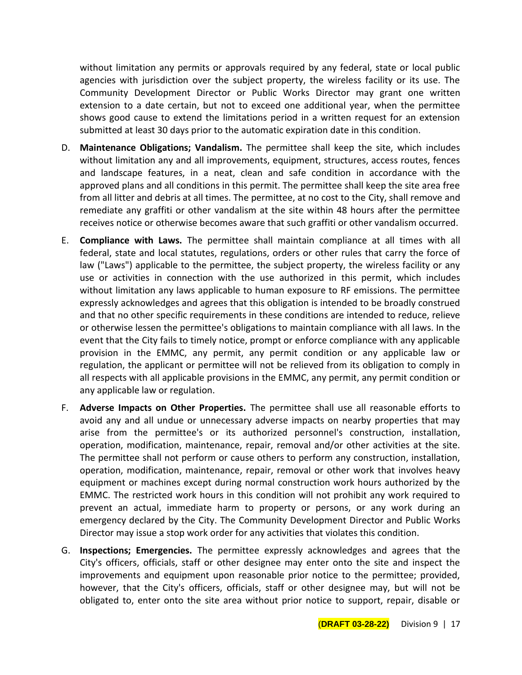without limitation any permits or approvals required by any federal, state or local public agencies with jurisdiction over the subject property, the wireless facility or its use. The Community Development Director or Public Works Director may grant one written extension to a date certain, but not to exceed one additional year, when the permittee shows good cause to extend the limitations period in a written request for an extension submitted at least 30 days prior to the automatic expiration date in this condition.

- D. **Maintenance Obligations; Vandalism.** The permittee shall keep the site, which includes without limitation any and all improvements, equipment, structures, access routes, fences and landscape features, in a neat, clean and safe condition in accordance with the approved plans and all conditions in this permit. The permittee shall keep the site area free from all litter and debris at all times. The permittee, at no cost to the City, shall remove and remediate any graffiti or other vandalism at the site within 48 hours after the permittee receives notice or otherwise becomes aware that such graffiti or other vandalism occurred.
- E. **Compliance with Laws.** The permittee shall maintain compliance at all times with all federal, state and local statutes, regulations, orders or other rules that carry the force of law ("Laws") applicable to the permittee, the subject property, the wireless facility or any use or activities in connection with the use authorized in this permit, which includes without limitation any laws applicable to human exposure to RF emissions. The permittee expressly acknowledges and agrees that this obligation is intended to be broadly construed and that no other specific requirements in these conditions are intended to reduce, relieve or otherwise lessen the permittee's obligations to maintain compliance with all laws. In the event that the City fails to timely notice, prompt or enforce compliance with any applicable provision in the EMMC, any permit, any permit condition or any applicable law or regulation, the applicant or permittee will not be relieved from its obligation to comply in all respects with all applicable provisions in the EMMC, any permit, any permit condition or any applicable law or regulation.
- F. **Adverse Impacts on Other Properties.** The permittee shall use all reasonable efforts to avoid any and all undue or unnecessary adverse impacts on nearby properties that may arise from the permittee's or its authorized personnel's construction, installation, operation, modification, maintenance, repair, removal and/or other activities at the site. The permittee shall not perform or cause others to perform any construction, installation, operation, modification, maintenance, repair, removal or other work that involves heavy equipment or machines except during normal construction work hours authorized by the EMMC. The restricted work hours in this condition will not prohibit any work required to prevent an actual, immediate harm to property or persons, or any work during an emergency declared by the City. The Community Development Director and Public Works Director may issue a stop work order for any activities that violates this condition.
- G. **Inspections; Emergencies.** The permittee expressly acknowledges and agrees that the City's officers, officials, staff or other designee may enter onto the site and inspect the improvements and equipment upon reasonable prior notice to the permittee; provided, however, that the City's officers, officials, staff or other designee may, but will not be obligated to, enter onto the site area without prior notice to support, repair, disable or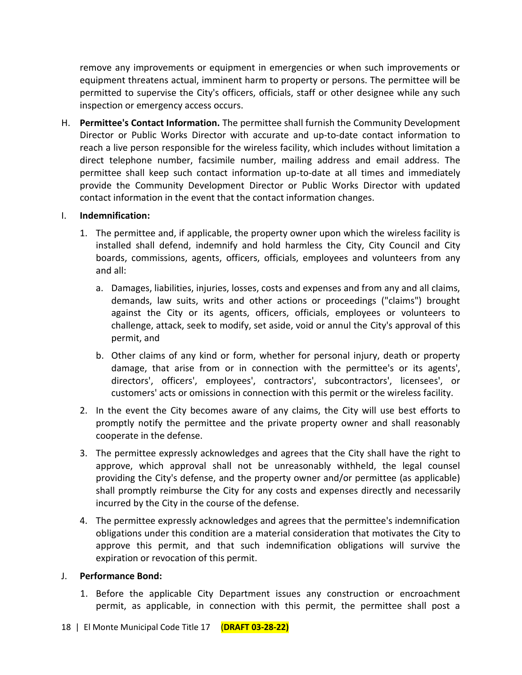remove any improvements or equipment in emergencies or when such improvements or equipment threatens actual, imminent harm to property or persons. The permittee will be permitted to supervise the City's officers, officials, staff or other designee while any such inspection or emergency access occurs.

H. **Permittee's Contact Information.** The permittee shall furnish the Community Development Director or Public Works Director with accurate and up-to-date contact information to reach a live person responsible for the wireless facility, which includes without limitation a direct telephone number, facsimile number, mailing address and email address. The permittee shall keep such contact information up-to-date at all times and immediately provide the Community Development Director or Public Works Director with updated contact information in the event that the contact information changes.

## I. **Indemnification:**

- 1. The permittee and, if applicable, the property owner upon which the wireless facility is installed shall defend, indemnify and hold harmless the City, City Council and City boards, commissions, agents, officers, officials, employees and volunteers from any and all:
	- a. Damages, liabilities, injuries, losses, costs and expenses and from any and all claims, demands, law suits, writs and other actions or proceedings ("claims") brought against the City or its agents, officers, officials, employees or volunteers to challenge, attack, seek to modify, set aside, void or annul the City's approval of this permit, and
	- b. Other claims of any kind or form, whether for personal injury, death or property damage, that arise from or in connection with the permittee's or its agents', directors', officers', employees', contractors', subcontractors', licensees', or customers' acts or omissions in connection with this permit or the wireless facility.
- 2. In the event the City becomes aware of any claims, the City will use best efforts to promptly notify the permittee and the private property owner and shall reasonably cooperate in the defense.
- 3. The permittee expressly acknowledges and agrees that the City shall have the right to approve, which approval shall not be unreasonably withheld, the legal counsel providing the City's defense, and the property owner and/or permittee (as applicable) shall promptly reimburse the City for any costs and expenses directly and necessarily incurred by the City in the course of the defense.
- 4. The permittee expressly acknowledges and agrees that the permittee's indemnification obligations under this condition are a material consideration that motivates the City to approve this permit, and that such indemnification obligations will survive the expiration or revocation of this permit.

#### J. **Performance Bond:**

1. Before the applicable City Department issues any construction or encroachment permit, as applicable, in connection with this permit, the permittee shall post a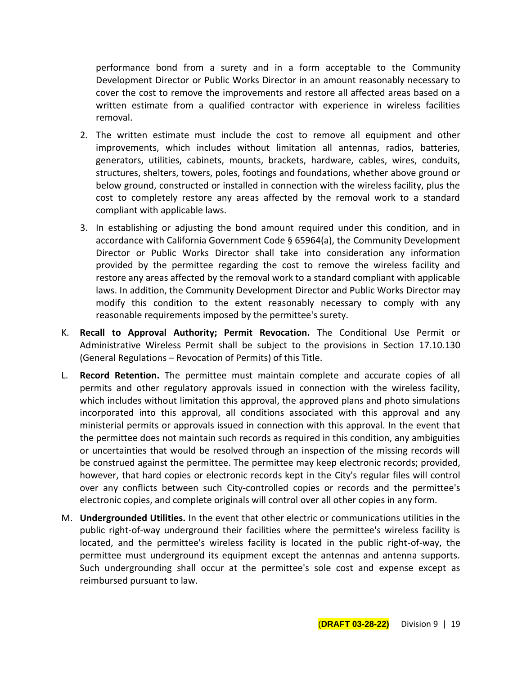performance bond from a surety and in a form acceptable to the Community Development Director or Public Works Director in an amount reasonably necessary to cover the cost to remove the improvements and restore all affected areas based on a written estimate from a qualified contractor with experience in wireless facilities removal.

- 2. The written estimate must include the cost to remove all equipment and other improvements, which includes without limitation all antennas, radios, batteries, generators, utilities, cabinets, mounts, brackets, hardware, cables, wires, conduits, structures, shelters, towers, poles, footings and foundations, whether above ground or below ground, constructed or installed in connection with the wireless facility, plus the cost to completely restore any areas affected by the removal work to a standard compliant with applicable laws.
- 3. In establishing or adjusting the bond amount required under this condition, and in accordance with California Government Code § 65964(a), the Community Development Director or Public Works Director shall take into consideration any information provided by the permittee regarding the cost to remove the wireless facility and restore any areas affected by the removal work to a standard compliant with applicable laws. In addition, the Community Development Director and Public Works Director may modify this condition to the extent reasonably necessary to comply with any reasonable requirements imposed by the permittee's surety.
- K. **Recall to Approval Authority; Permit Revocation.** The Conditional Use Permit or Administrative Wireless Permit shall be subject to the provisions in Section 17.10.130 (General Regulations – Revocation of Permits) of this Title.
- L. **Record Retention.** The permittee must maintain complete and accurate copies of all permits and other regulatory approvals issued in connection with the wireless facility, which includes without limitation this approval, the approved plans and photo simulations incorporated into this approval, all conditions associated with this approval and any ministerial permits or approvals issued in connection with this approval. In the event that the permittee does not maintain such records as required in this condition, any ambiguities or uncertainties that would be resolved through an inspection of the missing records will be construed against the permittee. The permittee may keep electronic records; provided, however, that hard copies or electronic records kept in the City's regular files will control over any conflicts between such City-controlled copies or records and the permittee's electronic copies, and complete originals will control over all other copies in any form.
- M. **Undergrounded Utilities.** In the event that other electric or communications utilities in the public right-of-way underground their facilities where the permittee's wireless facility is located, and the permittee's wireless facility is located in the public right-of-way, the permittee must underground its equipment except the antennas and antenna supports. Such undergrounding shall occur at the permittee's sole cost and expense except as reimbursed pursuant to law.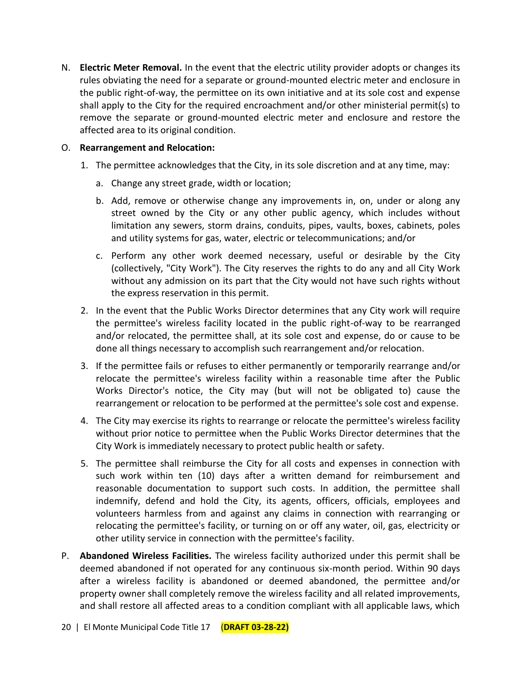N. **Electric Meter Removal.** In the event that the electric utility provider adopts or changes its rules obviating the need for a separate or ground-mounted electric meter and enclosure in the public right-of-way, the permittee on its own initiative and at its sole cost and expense shall apply to the City for the required encroachment and/or other ministerial permit(s) to remove the separate or ground-mounted electric meter and enclosure and restore the affected area to its original condition.

### O. **Rearrangement and Relocation:**

- 1. The permittee acknowledges that the City, in its sole discretion and at any time, may:
	- a. Change any street grade, width or location;
	- b. Add, remove or otherwise change any improvements in, on, under or along any street owned by the City or any other public agency, which includes without limitation any sewers, storm drains, conduits, pipes, vaults, boxes, cabinets, poles and utility systems for gas, water, electric or telecommunications; and/or
	- c. Perform any other work deemed necessary, useful or desirable by the City (collectively, "City Work"). The City reserves the rights to do any and all City Work without any admission on its part that the City would not have such rights without the express reservation in this permit.
- 2. In the event that the Public Works Director determines that any City work will require the permittee's wireless facility located in the public right-of-way to be rearranged and/or relocated, the permittee shall, at its sole cost and expense, do or cause to be done all things necessary to accomplish such rearrangement and/or relocation.
- 3. If the permittee fails or refuses to either permanently or temporarily rearrange and/or relocate the permittee's wireless facility within a reasonable time after the Public Works Director's notice, the City may (but will not be obligated to) cause the rearrangement or relocation to be performed at the permittee's sole cost and expense.
- 4. The City may exercise its rights to rearrange or relocate the permittee's wireless facility without prior notice to permittee when the Public Works Director determines that the City Work is immediately necessary to protect public health or safety.
- 5. The permittee shall reimburse the City for all costs and expenses in connection with such work within ten (10) days after a written demand for reimbursement and reasonable documentation to support such costs. In addition, the permittee shall indemnify, defend and hold the City, its agents, officers, officials, employees and volunteers harmless from and against any claims in connection with rearranging or relocating the permittee's facility, or turning on or off any water, oil, gas, electricity or other utility service in connection with the permittee's facility.
- P. **Abandoned Wireless Facilities.** The wireless facility authorized under this permit shall be deemed abandoned if not operated for any continuous six-month period. Within 90 days after a wireless facility is abandoned or deemed abandoned, the permittee and/or property owner shall completely remove the wireless facility and all related improvements, and shall restore all affected areas to a condition compliant with all applicable laws, which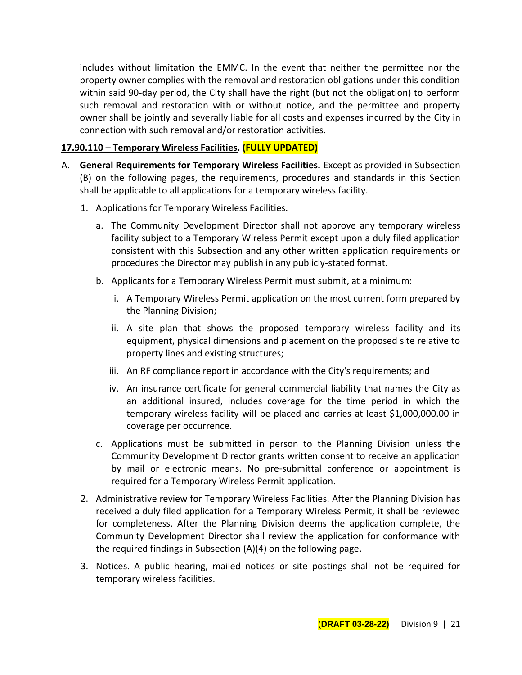includes without limitation the EMMC. In the event that neither the permittee nor the property owner complies with the removal and restoration obligations under this condition within said 90-day period, the City shall have the right (but not the obligation) to perform such removal and restoration with or without notice, and the permittee and property owner shall be jointly and severally liable for all costs and expenses incurred by the City in connection with such removal and/or restoration activities.

## **17.90.110 – Temporary Wireless Facilities. (FULLY UPDATED)**

- A. **General Requirements for Temporary Wireless Facilities.** Except as provided in Subsection (B) on the following pages, the requirements, procedures and standards in this Section shall be applicable to all applications for a temporary wireless facility.
	- 1. Applications for Temporary Wireless Facilities.
		- a. The Community Development Director shall not approve any temporary wireless facility subject to a Temporary Wireless Permit except upon a duly filed application consistent with this Subsection and any other written application requirements or procedures the Director may publish in any publicly-stated format.
		- b. Applicants for a Temporary Wireless Permit must submit, at a minimum:
			- i. A Temporary Wireless Permit application on the most current form prepared by the Planning Division;
			- ii. A site plan that shows the proposed temporary wireless facility and its equipment, physical dimensions and placement on the proposed site relative to property lines and existing structures;
			- iii. An RF compliance report in accordance with the City's requirements; and
			- iv. An insurance certificate for general commercial liability that names the City as an additional insured, includes coverage for the time period in which the temporary wireless facility will be placed and carries at least \$1,000,000.00 in coverage per occurrence.
		- c. Applications must be submitted in person to the Planning Division unless the Community Development Director grants written consent to receive an application by mail or electronic means. No pre-submittal conference or appointment is required for a Temporary Wireless Permit application.
	- 2. Administrative review for Temporary Wireless Facilities. After the Planning Division has received a duly filed application for a Temporary Wireless Permit, it shall be reviewed for completeness. After the Planning Division deems the application complete, the Community Development Director shall review the application for conformance with the required findings in Subsection (A)(4) on the following page.
	- 3. Notices. A public hearing, mailed notices or site postings shall not be required for temporary wireless facilities.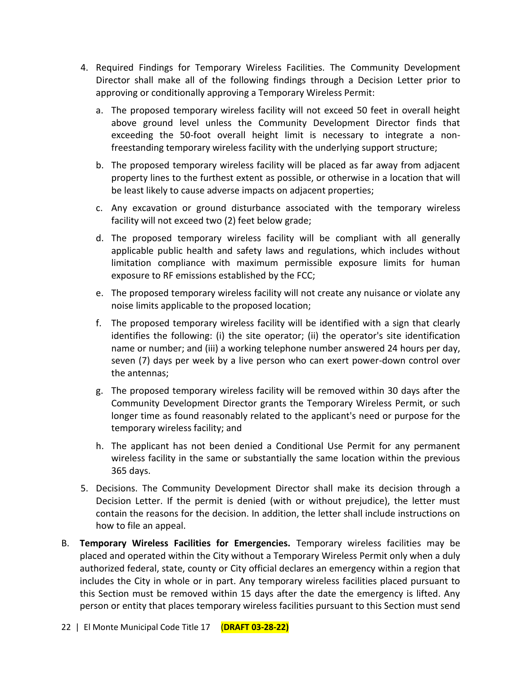- 4. Required Findings for Temporary Wireless Facilities. The Community Development Director shall make all of the following findings through a Decision Letter prior to approving or conditionally approving a Temporary Wireless Permit:
	- a. The proposed temporary wireless facility will not exceed 50 feet in overall height above ground level unless the Community Development Director finds that exceeding the 50-foot overall height limit is necessary to integrate a nonfreestanding temporary wireless facility with the underlying support structure;
	- b. The proposed temporary wireless facility will be placed as far away from adjacent property lines to the furthest extent as possible, or otherwise in a location that will be least likely to cause adverse impacts on adjacent properties;
	- c. Any excavation or ground disturbance associated with the temporary wireless facility will not exceed two (2) feet below grade;
	- d. The proposed temporary wireless facility will be compliant with all generally applicable public health and safety laws and regulations, which includes without limitation compliance with maximum permissible exposure limits for human exposure to RF emissions established by the FCC;
	- e. The proposed temporary wireless facility will not create any nuisance or violate any noise limits applicable to the proposed location;
	- f. The proposed temporary wireless facility will be identified with a sign that clearly identifies the following: (i) the site operator; (ii) the operator's site identification name or number; and (iii) a working telephone number answered 24 hours per day, seven (7) days per week by a live person who can exert power-down control over the antennas;
	- g. The proposed temporary wireless facility will be removed within 30 days after the Community Development Director grants the Temporary Wireless Permit, or such longer time as found reasonably related to the applicant's need or purpose for the temporary wireless facility; and
	- h. The applicant has not been denied a Conditional Use Permit for any permanent wireless facility in the same or substantially the same location within the previous 365 days.
- 5. Decisions. The Community Development Director shall make its decision through a Decision Letter. If the permit is denied (with or without prejudice), the letter must contain the reasons for the decision. In addition, the letter shall include instructions on how to file an appeal.
- B. **Temporary Wireless Facilities for Emergencies.** Temporary wireless facilities may be placed and operated within the City without a Temporary Wireless Permit only when a duly authorized federal, state, county or City official declares an emergency within a region that includes the City in whole or in part. Any temporary wireless facilities placed pursuant to this Section must be removed within 15 days after the date the emergency is lifted. Any person or entity that places temporary wireless facilities pursuant to this Section must send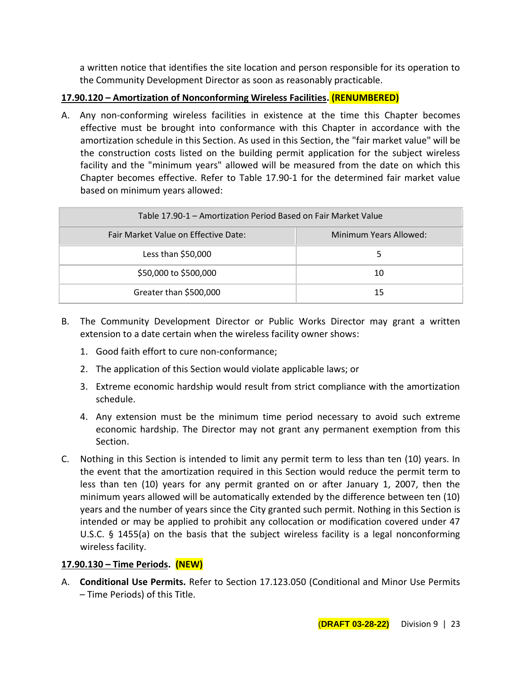a written notice that identifies the site location and person responsible for its operation to the Community Development Director as soon as reasonably practicable.

# **17.90.120 – Amortization of Nonconforming Wireless Facilities. (RENUMBERED)**

A. Any non-conforming wireless facilities in existence at the time this Chapter becomes effective must be brought into conformance with this Chapter in accordance with the amortization schedule in this Section. As used in this Section, the "fair market value" will be the construction costs listed on the building permit application for the subject wireless facility and the "minimum years" allowed will be measured from the date on which this Chapter becomes effective. Refer to Table 17.90-1 for the determined fair market value based on minimum years allowed:

| Table 17.90-1 - Amortization Period Based on Fair Market Value |                        |
|----------------------------------------------------------------|------------------------|
| Fair Market Value on Effective Date:                           | Minimum Years Allowed: |
| Less than $$50,000$                                            |                        |
| \$50,000 to \$500,000                                          | 10                     |
| Greater than \$500,000                                         | 15                     |

- B. The Community Development Director or Public Works Director may grant a written extension to a date certain when the wireless facility owner shows:
	- 1. Good faith effort to cure non-conformance;
	- 2. The application of this Section would violate applicable laws; or
	- 3. Extreme economic hardship would result from strict compliance with the amortization schedule.
	- 4. Any extension must be the minimum time period necessary to avoid such extreme economic hardship. The Director may not grant any permanent exemption from this Section.
- C. Nothing in this Section is intended to limit any permit term to less than ten (10) years. In the event that the amortization required in this Section would reduce the permit term to less than ten (10) years for any permit granted on or after January 1, 2007, then the minimum years allowed will be automatically extended by the difference between ten (10) years and the number of years since the City granted such permit. Nothing in this Section is intended or may be applied to prohibit any collocation or modification covered under 47 U.S.C. § 1455(a) on the basis that the subject wireless facility is a legal nonconforming wireless facility.

# **17.90.130 – Time Periods. (NEW)**

A. **Conditional Use Permits.** Refer to Section 17.123.050 (Conditional and Minor Use Permits – Time Periods) of this Title.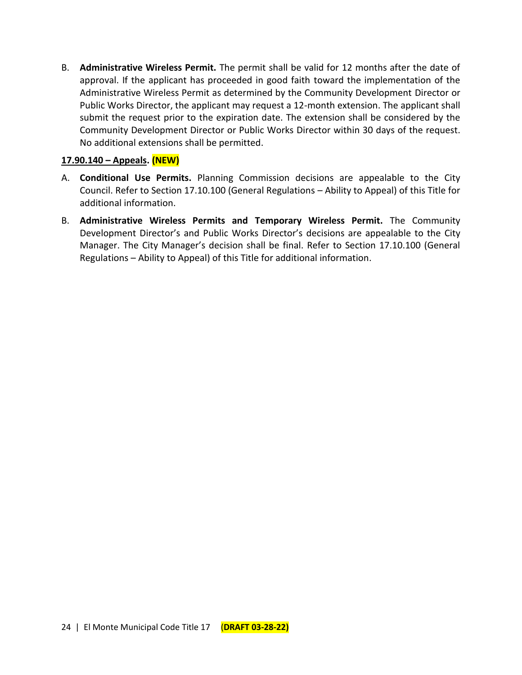B. **Administrative Wireless Permit.** The permit shall be valid for 12 months after the date of approval. If the applicant has proceeded in good faith toward the implementation of the Administrative Wireless Permit as determined by the Community Development Director or Public Works Director, the applicant may request a 12-month extension. The applicant shall submit the request prior to the expiration date. The extension shall be considered by the Community Development Director or Public Works Director within 30 days of the request. No additional extensions shall be permitted.

## **17.90.140 – Appeals. (NEW)**

- A. **Conditional Use Permits.** Planning Commission decisions are appealable to the City Council. Refer to Section 17.10.100 (General Regulations – Ability to Appeal) of this Title for additional information.
- B. **Administrative Wireless Permits and Temporary Wireless Permit.** The Community Development Director's and Public Works Director's decisions are appealable to the City Manager. The City Manager's decision shall be final. Refer to Section 17.10.100 (General Regulations – Ability to Appeal) of this Title for additional information.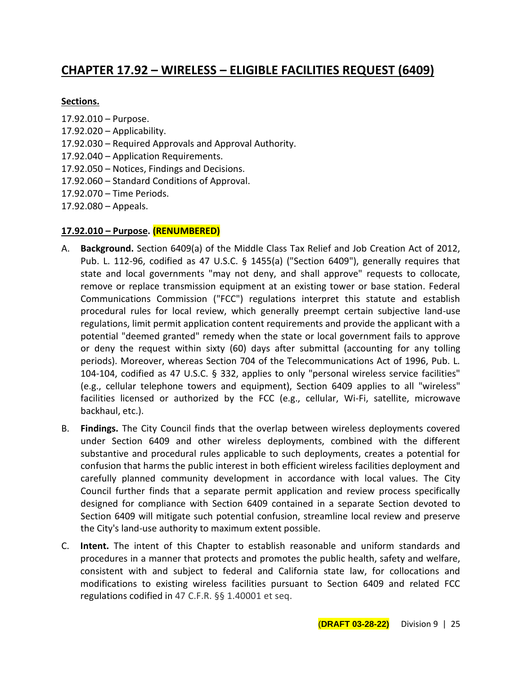# **CHAPTER 17.92 – WIRELESS – ELIGIBLE FACILITIES REQUEST (6409)**

#### **Sections.**

- 17.92.010 Purpose.
- $17.92.020 -$  Applicability.
- 17.92.030 Required Approvals and Approval Authority.
- 17.92.040 Application Requirements.
- 17.92.050 Notices, Findings and Decisions.
- 17.92.060 Standard Conditions of Approval.
- 17.92.070 Time Periods.
- 17.92.080 Appeals.

## **17.92.010 – Purpose. (RENUMBERED)**

- A. **Background.** Section 6409(a) of the Middle Class Tax Relief and Job Creation Act of 2012, Pub. L. 112-96, codified as 47 U.S.C. § 1455(a) ("Section 6409"), generally requires that state and local governments "may not deny, and shall approve" requests to collocate, remove or replace transmission equipment at an existing tower or base station. Federal Communications Commission ("FCC") regulations interpret this statute and establish procedural rules for local review, which generally preempt certain subjective land-use regulations, limit permit application content requirements and provide the applicant with a potential "deemed granted" remedy when the state or local government fails to approve or deny the request within sixty (60) days after submittal (accounting for any tolling periods). Moreover, whereas Section 704 of the Telecommunications Act of 1996, Pub. L. 104-104, codified as 47 U.S.C. § 332, applies to only "personal wireless service facilities" (e.g., cellular telephone towers and equipment), Section 6409 applies to all "wireless" facilities licensed or authorized by the FCC (e.g., cellular, Wi-Fi, satellite, microwave backhaul, etc.).
- B. **Findings.** The City Council finds that the overlap between wireless deployments covered under Section 6409 and other wireless deployments, combined with the different substantive and procedural rules applicable to such deployments, creates a potential for confusion that harms the public interest in both efficient wireless facilities deployment and carefully planned community development in accordance with local values. The City Council further finds that a separate permit application and review process specifically designed for compliance with Section 6409 contained in a separate Section devoted to Section 6409 will mitigate such potential confusion, streamline local review and preserve the City's land-use authority to maximum extent possible.
- C. **Intent.** The intent of this Chapter to establish reasonable and uniform standards and procedures in a manner that protects and promotes the public health, safety and welfare, consistent with and subject to federal and California state law, for collocations and modifications to existing wireless facilities pursuant to Section 6409 and related FCC regulations codified in 47 C.F.R. §§ 1.40001 et seq.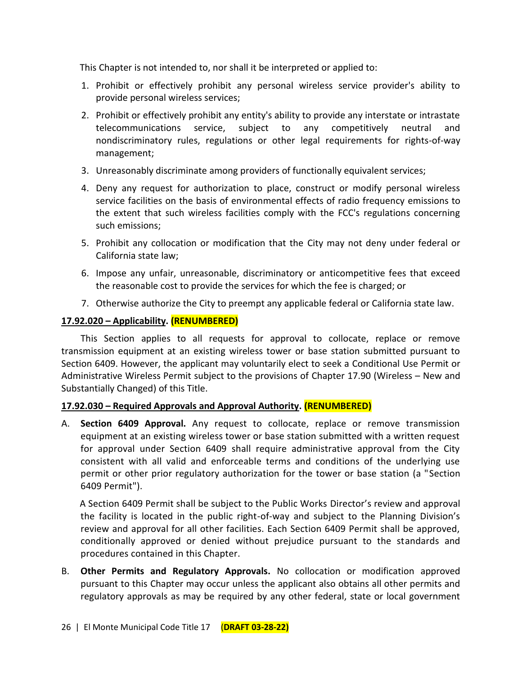This Chapter is not intended to, nor shall it be interpreted or applied to:

- 1. Prohibit or effectively prohibit any personal wireless service provider's ability to provide personal wireless services;
- 2. Prohibit or effectively prohibit any entity's ability to provide any interstate or intrastate telecommunications service, subject to any competitively neutral and nondiscriminatory rules, regulations or other legal requirements for rights-of-way management;
- 3. Unreasonably discriminate among providers of functionally equivalent services;
- 4. Deny any request for authorization to place, construct or modify personal wireless service facilities on the basis of environmental effects of radio frequency emissions to the extent that such wireless facilities comply with the FCC's regulations concerning such emissions;
- 5. Prohibit any collocation or modification that the City may not deny under federal or California state law;
- 6. Impose any unfair, unreasonable, discriminatory or anticompetitive fees that exceed the reasonable cost to provide the services for which the fee is charged; or
- 7. Otherwise authorize the City to preempt any applicable federal or California state law.

# **17.92.020 – Applicability. (RENUMBERED)**

This Section applies to all requests for approval to collocate, replace or remove transmission equipment at an existing wireless tower or base station submitted pursuant to Section 6409. However, the applicant may voluntarily elect to seek a Conditional Use Permit or Administrative Wireless Permit subject to the provisions of Chapter 17.90 (Wireless – New and Substantially Changed) of this Title.

# **17.92.030 – Required Approvals and Approval Authority. (RENUMBERED)**

A. **Section 6409 Approval.** Any request to collocate, replace or remove transmission equipment at an existing wireless tower or base station submitted with a written request for approval under Section 6409 shall require administrative approval from the City consistent with all valid and enforceable terms and conditions of the underlying use permit or other prior regulatory authorization for the tower or base station (a "Section 6409 Permit").

A Section 6409 Permit shall be subject to the Public Works Director's review and approval the facility is located in the public right-of-way and subject to the Planning Division's review and approval for all other facilities. Each Section 6409 Permit shall be approved, conditionally approved or denied without prejudice pursuant to the standards and procedures contained in this Chapter.

B. **Other Permits and Regulatory Approvals.** No collocation or modification approved pursuant to this Chapter may occur unless the applicant also obtains all other permits and regulatory approvals as may be required by any other federal, state or local government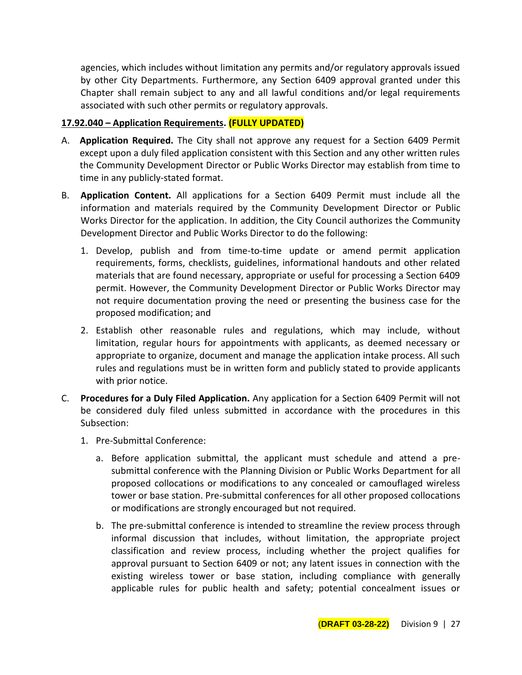agencies, which includes without limitation any permits and/or regulatory approvals issued by other City Departments. Furthermore, any Section 6409 approval granted under this Chapter shall remain subject to any and all lawful conditions and/or legal requirements associated with such other permits or regulatory approvals.

## **17.92.040 – Application Requirements. (FULLY UPDATED)**

- A. **Application Required.** The City shall not approve any request for a Section 6409 Permit except upon a duly filed application consistent with this Section and any other written rules the Community Development Director or Public Works Director may establish from time to time in any publicly-stated format.
- B. **Application Content.** All applications for a Section 6409 Permit must include all the information and materials required by the Community Development Director or Public Works Director for the application. In addition, the City Council authorizes the Community Development Director and Public Works Director to do the following:
	- 1. Develop, publish and from time-to-time update or amend permit application requirements, forms, checklists, guidelines, informational handouts and other related materials that are found necessary, appropriate or useful for processing a Section 6409 permit. However, the Community Development Director or Public Works Director may not require documentation proving the need or presenting the business case for the proposed modification; and
	- 2. Establish other reasonable rules and regulations, which may include, without limitation, regular hours for appointments with applicants, as deemed necessary or appropriate to organize, document and manage the application intake process. All such rules and regulations must be in written form and publicly stated to provide applicants with prior notice.
- C. **Procedures for a Duly Filed Application.** Any application for a Section 6409 Permit will not be considered duly filed unless submitted in accordance with the procedures in this Subsection:
	- 1. Pre-Submittal Conference:
		- a. Before application submittal, the applicant must schedule and attend a presubmittal conference with the Planning Division or Public Works Department for all proposed collocations or modifications to any concealed or camouflaged wireless tower or base station. Pre-submittal conferences for all other proposed collocations or modifications are strongly encouraged but not required.
		- b. The pre-submittal conference is intended to streamline the review process through informal discussion that includes, without limitation, the appropriate project classification and review process, including whether the project qualifies for approval pursuant to Section 6409 or not; any latent issues in connection with the existing wireless tower or base station, including compliance with generally applicable rules for public health and safety; potential concealment issues or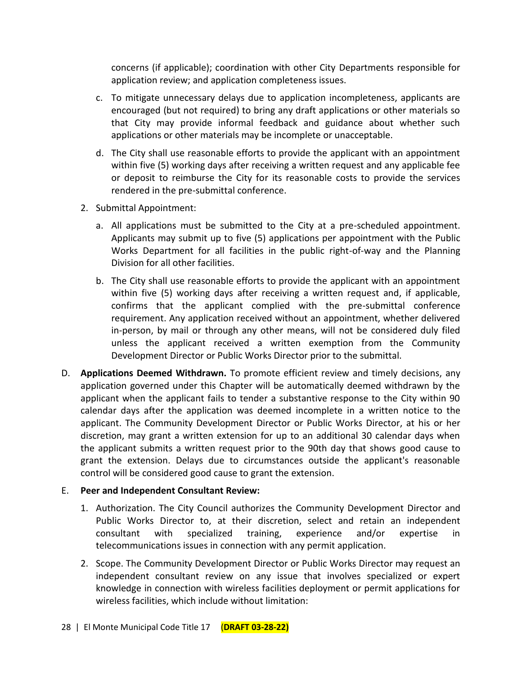concerns (if applicable); coordination with other City Departments responsible for application review; and application completeness issues.

- c. To mitigate unnecessary delays due to application incompleteness, applicants are encouraged (but not required) to bring any draft applications or other materials so that City may provide informal feedback and guidance about whether such applications or other materials may be incomplete or unacceptable.
- d. The City shall use reasonable efforts to provide the applicant with an appointment within five (5) working days after receiving a written request and any applicable fee or deposit to reimburse the City for its reasonable costs to provide the services rendered in the pre-submittal conference.
- 2. Submittal Appointment:
	- a. All applications must be submitted to the City at a pre-scheduled appointment. Applicants may submit up to five (5) applications per appointment with the Public Works Department for all facilities in the public right-of-way and the Planning Division for all other facilities.
	- b. The City shall use reasonable efforts to provide the applicant with an appointment within five (5) working days after receiving a written request and, if applicable, confirms that the applicant complied with the pre-submittal conference requirement. Any application received without an appointment, whether delivered in-person, by mail or through any other means, will not be considered duly filed unless the applicant received a written exemption from the Community Development Director or Public Works Director prior to the submittal.
- D. **Applications Deemed Withdrawn.** To promote efficient review and timely decisions, any application governed under this Chapter will be automatically deemed withdrawn by the applicant when the applicant fails to tender a substantive response to the City within 90 calendar days after the application was deemed incomplete in a written notice to the applicant. The Community Development Director or Public Works Director, at his or her discretion, may grant a written extension for up to an additional 30 calendar days when the applicant submits a written request prior to the 90th day that shows good cause to grant the extension. Delays due to circumstances outside the applicant's reasonable control will be considered good cause to grant the extension.

#### E. **Peer and Independent Consultant Review:**

- 1. Authorization. The City Council authorizes the Community Development Director and Public Works Director to, at their discretion, select and retain an independent consultant with specialized training, experience and/or expertise in telecommunications issues in connection with any permit application.
- 2. Scope. The Community Development Director or Public Works Director may request an independent consultant review on any issue that involves specialized or expert knowledge in connection with wireless facilities deployment or permit applications for wireless facilities, which include without limitation: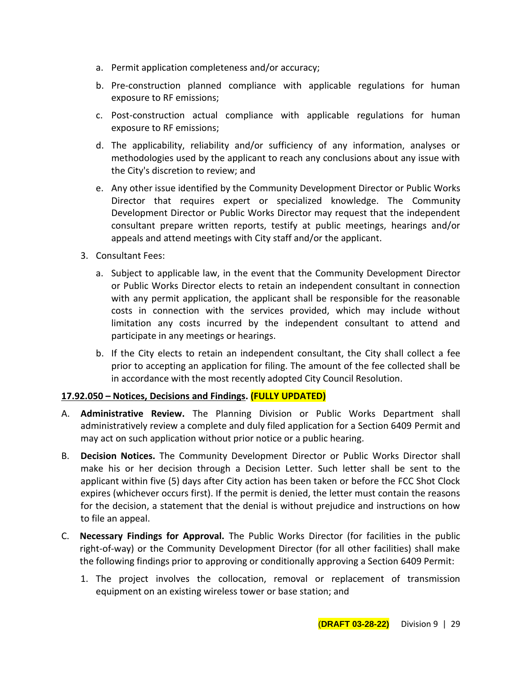- a. Permit application completeness and/or accuracy;
- b. Pre-construction planned compliance with applicable regulations for human exposure to RF emissions;
- c. Post-construction actual compliance with applicable regulations for human exposure to RF emissions;
- d. The applicability, reliability and/or sufficiency of any information, analyses or methodologies used by the applicant to reach any conclusions about any issue with the City's discretion to review; and
- e. Any other issue identified by the Community Development Director or Public Works Director that requires expert or specialized knowledge. The Community Development Director or Public Works Director may request that the independent consultant prepare written reports, testify at public meetings, hearings and/or appeals and attend meetings with City staff and/or the applicant.
- 3. Consultant Fees:
	- a. Subject to applicable law, in the event that the Community Development Director or Public Works Director elects to retain an independent consultant in connection with any permit application, the applicant shall be responsible for the reasonable costs in connection with the services provided, which may include without limitation any costs incurred by the independent consultant to attend and participate in any meetings or hearings.
	- b. If the City elects to retain an independent consultant, the City shall collect a fee prior to accepting an application for filing. The amount of the fee collected shall be in accordance with the most recently adopted City Council Resolution.

# **17.92.050 – Notices, Decisions and Findings. (FULLY UPDATED)**

- A. **Administrative Review.** The Planning Division or Public Works Department shall administratively review a complete and duly filed application for a Section 6409 Permit and may act on such application without prior notice or a public hearing.
- B. **Decision Notices.** The Community Development Director or Public Works Director shall make his or her decision through a Decision Letter. Such letter shall be sent to the applicant within five (5) days after City action has been taken or before the FCC Shot Clock expires (whichever occurs first). If the permit is denied, the letter must contain the reasons for the decision, a statement that the denial is without prejudice and instructions on how to file an appeal.
- C. **Necessary Findings for Approval.** The Public Works Director (for facilities in the public right-of-way) or the Community Development Director (for all other facilities) shall make the following findings prior to approving or conditionally approving a Section 6409 Permit:
	- 1. The project involves the collocation, removal or replacement of transmission equipment on an existing wireless tower or base station; and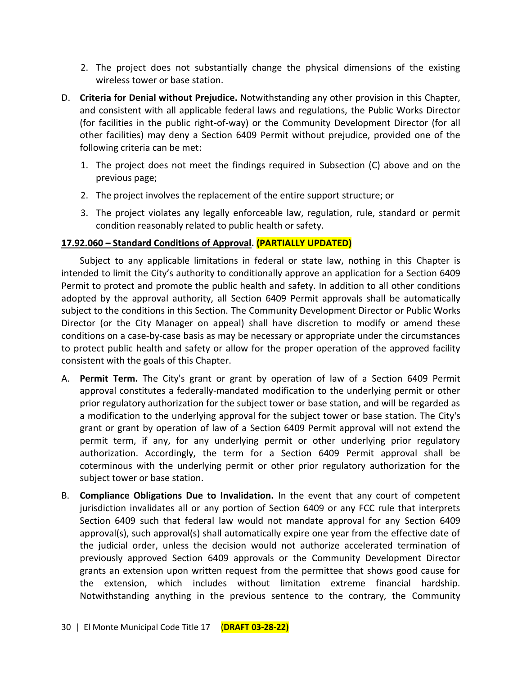- 2. The project does not substantially change the physical dimensions of the existing wireless tower or base station.
- D. **Criteria for Denial without Prejudice.** Notwithstanding any other provision in this Chapter, and consistent with all applicable federal laws and regulations, the Public Works Director (for facilities in the public right-of-way) or the Community Development Director (for all other facilities) may deny a Section 6409 Permit without prejudice, provided one of the following criteria can be met:
	- 1. The project does not meet the findings required in Subsection (C) above and on the previous page;
	- 2. The project involves the replacement of the entire support structure; or
	- 3. The project violates any legally enforceable law, regulation, rule, standard or permit condition reasonably related to public health or safety.

# **17.92.060 – Standard Conditions of Approval. (PARTIALLY UPDATED)**

Subject to any applicable limitations in federal or state law, nothing in this Chapter is intended to limit the City's authority to conditionally approve an application for a Section 6409 Permit to protect and promote the public health and safety. In addition to all other conditions adopted by the approval authority, all Section 6409 Permit approvals shall be automatically subject to the conditions in this Section. The Community Development Director or Public Works Director (or the City Manager on appeal) shall have discretion to modify or amend these conditions on a case-by-case basis as may be necessary or appropriate under the circumstances to protect public health and safety or allow for the proper operation of the approved facility consistent with the goals of this Chapter.

- A. **Permit Term.** The City's grant or grant by operation of law of a Section 6409 Permit approval constitutes a federally-mandated modification to the underlying permit or other prior regulatory authorization for the subject tower or base station, and will be regarded as a modification to the underlying approval for the subject tower or base station. The City's grant or grant by operation of law of a Section 6409 Permit approval will not extend the permit term, if any, for any underlying permit or other underlying prior regulatory authorization. Accordingly, the term for a Section 6409 Permit approval shall be coterminous with the underlying permit or other prior regulatory authorization for the subject tower or base station.
- B. **Compliance Obligations Due to Invalidation.** In the event that any court of competent jurisdiction invalidates all or any portion of Section 6409 or any FCC rule that interprets Section 6409 such that federal law would not mandate approval for any Section 6409 approval(s), such approval(s) shall automatically expire one year from the effective date of the judicial order, unless the decision would not authorize accelerated termination of previously approved Section 6409 approvals or the Community Development Director grants an extension upon written request from the permittee that shows good cause for the extension, which includes without limitation extreme financial hardship. Notwithstanding anything in the previous sentence to the contrary, the Community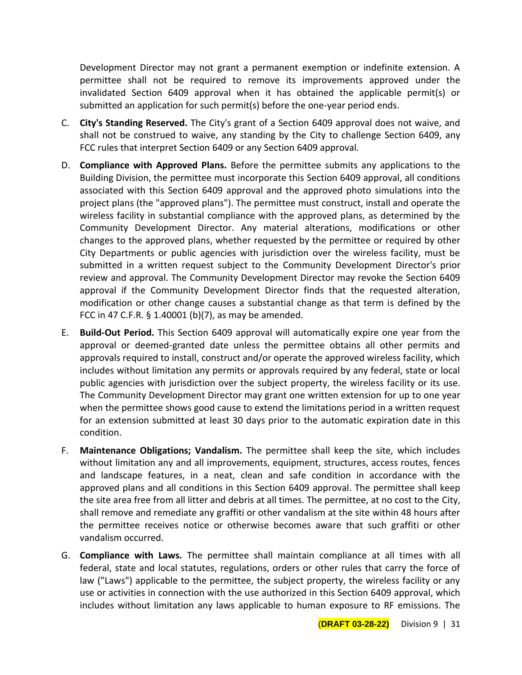Development Director may not grant a permanent exemption or indefinite extension. A permittee shall not be required to remove its improvements approved under the invalidated Section 6409 approval when it has obtained the applicable permit(s) or submitted an application for such permit(s) before the one-year period ends.

- C. **City's Standing Reserved.** The City's grant of a Section 6409 approval does not waive, and shall not be construed to waive, any standing by the City to challenge Section 6409, any FCC rules that interpret Section 6409 or any Section 6409 approval.
- D. **Compliance with Approved Plans.** Before the permittee submits any applications to the Building Division, the permittee must incorporate this Section 6409 approval, all conditions associated with this Section 6409 approval and the approved photo simulations into the project plans (the "approved plans"). The permittee must construct, install and operate the wireless facility in substantial compliance with the approved plans, as determined by the Community Development Director. Any material alterations, modifications or other changes to the approved plans, whether requested by the permittee or required by other City Departments or public agencies with jurisdiction over the wireless facility, must be submitted in a written request subject to the Community Development Director's prior review and approval. The Community Development Director may revoke the Section 6409 approval if the Community Development Director finds that the requested alteration, modification or other change causes a substantial change as that term is defined by the FCC in 47 C.F.R. § 1.40001 (b)(7), as may be amended.
- E. **Build-Out Period.** This Section 6409 approval will automatically expire one year from the approval or deemed-granted date unless the permittee obtains all other permits and approvals required to install, construct and/or operate the approved wireless facility, which includes without limitation any permits or approvals required by any federal, state or local public agencies with jurisdiction over the subject property, the wireless facility or its use. The Community Development Director may grant one written extension for up to one year when the permittee shows good cause to extend the limitations period in a written request for an extension submitted at least 30 days prior to the automatic expiration date in this condition.
- F. **Maintenance Obligations; Vandalism.** The permittee shall keep the site, which includes without limitation any and all improvements, equipment, structures, access routes, fences and landscape features, in a neat, clean and safe condition in accordance with the approved plans and all conditions in this Section 6409 approval. The permittee shall keep the site area free from all litter and debris at all times. The permittee, at no cost to the City, shall remove and remediate any graffiti or other vandalism at the site within 48 hours after the permittee receives notice or otherwise becomes aware that such graffiti or other vandalism occurred.
- G. **Compliance with Laws.** The permittee shall maintain compliance at all times with all federal, state and local statutes, regulations, orders or other rules that carry the force of law ("Laws") applicable to the permittee, the subject property, the wireless facility or any use or activities in connection with the use authorized in this Section 6409 approval, which includes without limitation any laws applicable to human exposure to RF emissions. The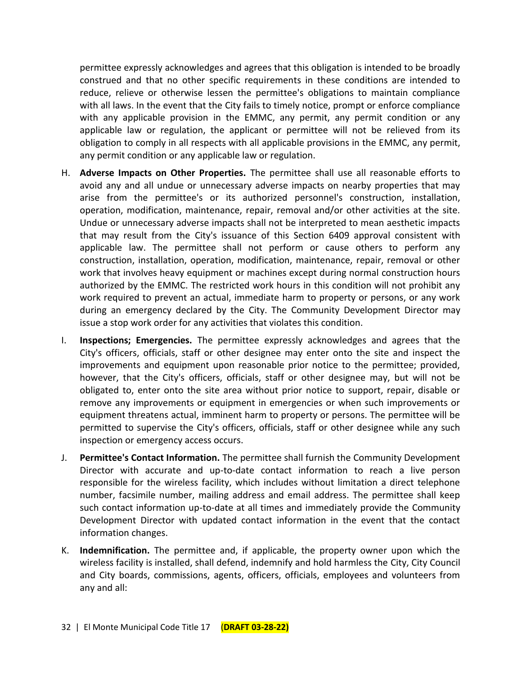permittee expressly acknowledges and agrees that this obligation is intended to be broadly construed and that no other specific requirements in these conditions are intended to reduce, relieve or otherwise lessen the permittee's obligations to maintain compliance with all laws. In the event that the City fails to timely notice, prompt or enforce compliance with any applicable provision in the EMMC, any permit, any permit condition or any applicable law or regulation, the applicant or permittee will not be relieved from its obligation to comply in all respects with all applicable provisions in the EMMC, any permit, any permit condition or any applicable law or regulation.

- H. **Adverse Impacts on Other Properties.** The permittee shall use all reasonable efforts to avoid any and all undue or unnecessary adverse impacts on nearby properties that may arise from the permittee's or its authorized personnel's construction, installation, operation, modification, maintenance, repair, removal and/or other activities at the site. Undue or unnecessary adverse impacts shall not be interpreted to mean aesthetic impacts that may result from the City's issuance of this Section 6409 approval consistent with applicable law. The permittee shall not perform or cause others to perform any construction, installation, operation, modification, maintenance, repair, removal or other work that involves heavy equipment or machines except during normal construction hours authorized by the EMMC. The restricted work hours in this condition will not prohibit any work required to prevent an actual, immediate harm to property or persons, or any work during an emergency declared by the City. The Community Development Director may issue a stop work order for any activities that violates this condition.
- I. **Inspections; Emergencies.** The permittee expressly acknowledges and agrees that the City's officers, officials, staff or other designee may enter onto the site and inspect the improvements and equipment upon reasonable prior notice to the permittee; provided, however, that the City's officers, officials, staff or other designee may, but will not be obligated to, enter onto the site area without prior notice to support, repair, disable or remove any improvements or equipment in emergencies or when such improvements or equipment threatens actual, imminent harm to property or persons. The permittee will be permitted to supervise the City's officers, officials, staff or other designee while any such inspection or emergency access occurs.
- J. **Permittee's Contact Information.** The permittee shall furnish the Community Development Director with accurate and up-to-date contact information to reach a live person responsible for the wireless facility, which includes without limitation a direct telephone number, facsimile number, mailing address and email address. The permittee shall keep such contact information up-to-date at all times and immediately provide the Community Development Director with updated contact information in the event that the contact information changes.
- K. **Indemnification.** The permittee and, if applicable, the property owner upon which the wireless facility is installed, shall defend, indemnify and hold harmless the City, City Council and City boards, commissions, agents, officers, officials, employees and volunteers from any and all: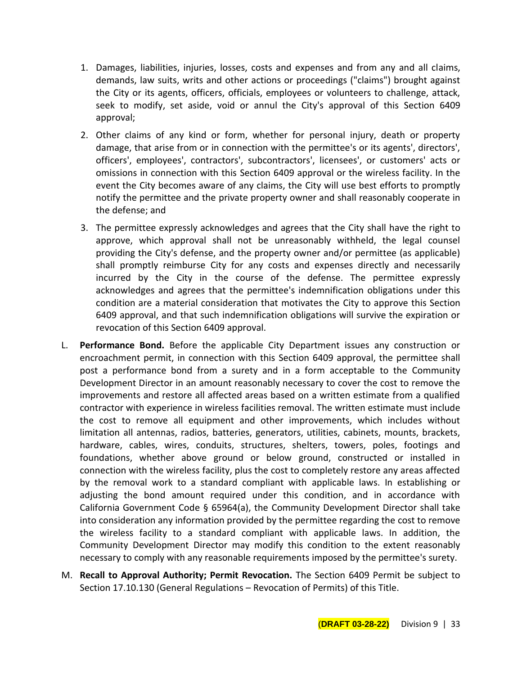- 1. Damages, liabilities, injuries, losses, costs and expenses and from any and all claims, demands, law suits, writs and other actions or proceedings ("claims") brought against the City or its agents, officers, officials, employees or volunteers to challenge, attack, seek to modify, set aside, void or annul the City's approval of this Section 6409 approval;
- 2. Other claims of any kind or form, whether for personal injury, death or property damage, that arise from or in connection with the permittee's or its agents', directors', officers', employees', contractors', subcontractors', licensees', or customers' acts or omissions in connection with this Section 6409 approval or the wireless facility. In the event the City becomes aware of any claims, the City will use best efforts to promptly notify the permittee and the private property owner and shall reasonably cooperate in the defense; and
- 3. The permittee expressly acknowledges and agrees that the City shall have the right to approve, which approval shall not be unreasonably withheld, the legal counsel providing the City's defense, and the property owner and/or permittee (as applicable) shall promptly reimburse City for any costs and expenses directly and necessarily incurred by the City in the course of the defense. The permittee expressly acknowledges and agrees that the permittee's indemnification obligations under this condition are a material consideration that motivates the City to approve this Section 6409 approval, and that such indemnification obligations will survive the expiration or revocation of this Section 6409 approval.
- L. **Performance Bond.** Before the applicable City Department issues any construction or encroachment permit, in connection with this Section 6409 approval, the permittee shall post a performance bond from a surety and in a form acceptable to the Community Development Director in an amount reasonably necessary to cover the cost to remove the improvements and restore all affected areas based on a written estimate from a qualified contractor with experience in wireless facilities removal. The written estimate must include the cost to remove all equipment and other improvements, which includes without limitation all antennas, radios, batteries, generators, utilities, cabinets, mounts, brackets, hardware, cables, wires, conduits, structures, shelters, towers, poles, footings and foundations, whether above ground or below ground, constructed or installed in connection with the wireless facility, plus the cost to completely restore any areas affected by the removal work to a standard compliant with applicable laws. In establishing or adjusting the bond amount required under this condition, and in accordance with California Government Code § 65964(a), the Community Development Director shall take into consideration any information provided by the permittee regarding the cost to remove the wireless facility to a standard compliant with applicable laws. In addition, the Community Development Director may modify this condition to the extent reasonably necessary to comply with any reasonable requirements imposed by the permittee's surety.
- M. **Recall to Approval Authority; Permit Revocation.** The Section 6409 Permit be subject to Section 17.10.130 (General Regulations – Revocation of Permits) of this Title.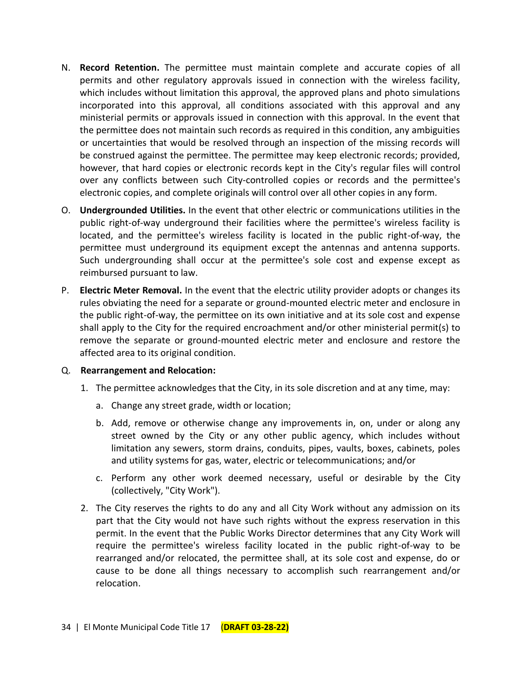- N. **Record Retention.** The permittee must maintain complete and accurate copies of all permits and other regulatory approvals issued in connection with the wireless facility, which includes without limitation this approval, the approved plans and photo simulations incorporated into this approval, all conditions associated with this approval and any ministerial permits or approvals issued in connection with this approval. In the event that the permittee does not maintain such records as required in this condition, any ambiguities or uncertainties that would be resolved through an inspection of the missing records will be construed against the permittee. The permittee may keep electronic records; provided, however, that hard copies or electronic records kept in the City's regular files will control over any conflicts between such City-controlled copies or records and the permittee's electronic copies, and complete originals will control over all other copies in any form.
- O. **Undergrounded Utilities.** In the event that other electric or communications utilities in the public right-of-way underground their facilities where the permittee's wireless facility is located, and the permittee's wireless facility is located in the public right-of-way, the permittee must underground its equipment except the antennas and antenna supports. Such undergrounding shall occur at the permittee's sole cost and expense except as reimbursed pursuant to law.
- P. **Electric Meter Removal.** In the event that the electric utility provider adopts or changes its rules obviating the need for a separate or ground-mounted electric meter and enclosure in the public right-of-way, the permittee on its own initiative and at its sole cost and expense shall apply to the City for the required encroachment and/or other ministerial permit(s) to remove the separate or ground-mounted electric meter and enclosure and restore the affected area to its original condition.

#### Q. **Rearrangement and Relocation:**

- 1. The permittee acknowledges that the City, in its sole discretion and at any time, may:
	- a. Change any street grade, width or location;
	- b. Add, remove or otherwise change any improvements in, on, under or along any street owned by the City or any other public agency, which includes without limitation any sewers, storm drains, conduits, pipes, vaults, boxes, cabinets, poles and utility systems for gas, water, electric or telecommunications; and/or
	- c. Perform any other work deemed necessary, useful or desirable by the City (collectively, "City Work").
- 2. The City reserves the rights to do any and all City Work without any admission on its part that the City would not have such rights without the express reservation in this permit. In the event that the Public Works Director determines that any City Work will require the permittee's wireless facility located in the public right-of-way to be rearranged and/or relocated, the permittee shall, at its sole cost and expense, do or cause to be done all things necessary to accomplish such rearrangement and/or relocation.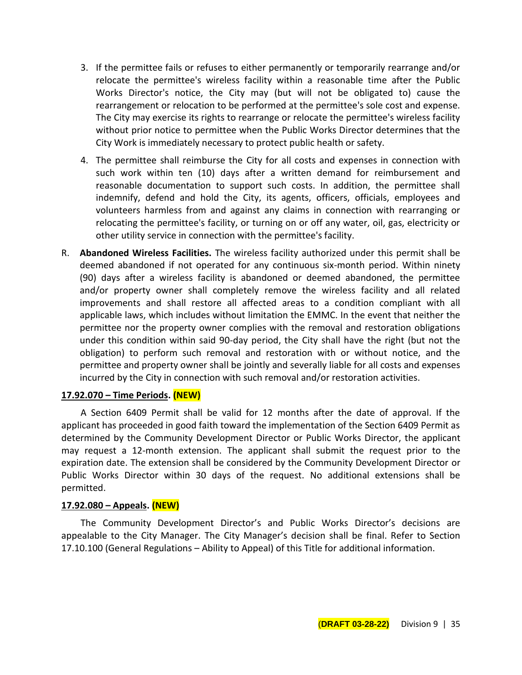- 3. If the permittee fails or refuses to either permanently or temporarily rearrange and/or relocate the permittee's wireless facility within a reasonable time after the Public Works Director's notice, the City may (but will not be obligated to) cause the rearrangement or relocation to be performed at the permittee's sole cost and expense. The City may exercise its rights to rearrange or relocate the permittee's wireless facility without prior notice to permittee when the Public Works Director determines that the City Work is immediately necessary to protect public health or safety.
- 4. The permittee shall reimburse the City for all costs and expenses in connection with such work within ten (10) days after a written demand for reimbursement and reasonable documentation to support such costs. In addition, the permittee shall indemnify, defend and hold the City, its agents, officers, officials, employees and volunteers harmless from and against any claims in connection with rearranging or relocating the permittee's facility, or turning on or off any water, oil, gas, electricity or other utility service in connection with the permittee's facility.
- R. **Abandoned Wireless Facilities.** The wireless facility authorized under this permit shall be deemed abandoned if not operated for any continuous six-month period. Within ninety (90) days after a wireless facility is abandoned or deemed abandoned, the permittee and/or property owner shall completely remove the wireless facility and all related improvements and shall restore all affected areas to a condition compliant with all applicable laws, which includes without limitation the EMMC. In the event that neither the permittee nor the property owner complies with the removal and restoration obligations under this condition within said 90-day period, the City shall have the right (but not the obligation) to perform such removal and restoration with or without notice, and the permittee and property owner shall be jointly and severally liable for all costs and expenses incurred by the City in connection with such removal and/or restoration activities.

#### **17.92.070 – Time Periods. (NEW)**

A Section 6409 Permit shall be valid for 12 months after the date of approval. If the applicant has proceeded in good faith toward the implementation of the Section 6409 Permit as determined by the Community Development Director or Public Works Director, the applicant may request a 12-month extension. The applicant shall submit the request prior to the expiration date. The extension shall be considered by the Community Development Director or Public Works Director within 30 days of the request. No additional extensions shall be permitted.

#### **17.92.080 – Appeals. (NEW)**

The Community Development Director's and Public Works Director's decisions are appealable to the City Manager. The City Manager's decision shall be final. Refer to Section 17.10.100 (General Regulations – Ability to Appeal) of this Title for additional information.